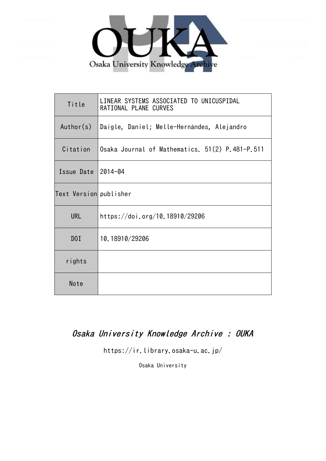

| Title                  | LINEAR SYSTEMS ASSOCIATED TO UNICUSPIDAL<br>RATIONAL PLANE CURVES |
|------------------------|-------------------------------------------------------------------|
| Author(s)              | Daigle, Daniel; Melle-Hernándes, Alejandro                        |
| Citation               | Osaka Journal of Mathematics. 51(2) P.481-P.511                   |
| Issue Date             | 2014-04                                                           |
| Text Version publisher |                                                                   |
| <b>URL</b>             | https://doi.org/10.18910/29206                                    |
| DOI                    | 10.18910/29206                                                    |
| rights                 |                                                                   |
| Note                   |                                                                   |

# Osaka University Knowledge Archive : OUKA

https://ir.library.osaka-u.ac.jp/

Osaka University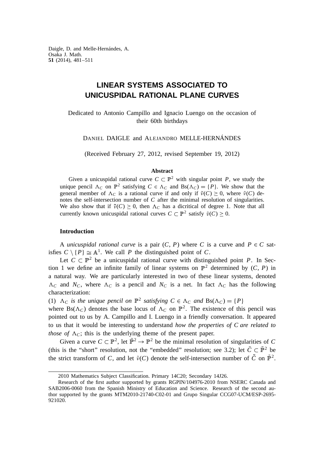# **LINEAR SYSTEMS ASSOCIATED TO UNICUSPIDAL RATIONAL PLANE CURVES**

Dedicated to Antonio Campillo and Ignacio Luengo on the occasion of their 60th birthdays

DANIEL DAIGLE and ALEJANDRO MELLE-HERNÁNDES

(Received February 27, 2012, revised September 19, 2012)

### **Abstract**

Given a unicuspidal rational curve  $C \subset \mathbb{P}^2$  with singular point P, we study the unique pencil  $\Lambda_C$  on  $\mathbb{P}^2$  satisfying  $C \in \Lambda_C$  and  $Bs(\Lambda_C) = \{P\}$ . We show that the general member of  $\Lambda_C$  is a rational curve if and only if  $\tilde{\nu}(C) \geq 0$ , where  $\tilde{\nu}(C)$  denotes the self-intersection number of *C* after the minimal resolution of singularities. We also show that if  $\tilde{\nu}(C) \geq 0$ , then  $\Lambda_C$  has a dicritical of degree 1. Note that all currently known unicuspidal rational curves  $C \subset \mathbb{P}^2$  satisfy  $\tilde{\nu}(C) \geq 0$ .

# **Introduction**

A *unicuspidal rational curve* is a pair  $(C, P)$  where *C* is a curve and  $P \in C$  satisfies  $C \setminus {P} \cong \mathbb{A}^1$ . We call *P* the distinguished point of *C*.

Let  $C \subset \mathbb{P}^2$  be a unicuspidal rational curve with distinguished point *P*. In Section 1 we define an infinite family of linear systems on  $\mathbb{P}^2$  determined by  $(C, P)$  in a natural way. We are particularly interested in two of these linear systems, denoted  $\Lambda_c$  and  $N_c$ , where  $\Lambda_c$  is a pencil and  $N_c$  is a net. In fact  $\Lambda_c$  has the following characterization:

(1)  $\Lambda_C$  *is the unique pencil on*  $\mathbb{P}^2$  *satisfying*  $C \in \Lambda_C$  *and*  $Bs(\Lambda_C) = \{P\}$ 

where  $Bs(\Lambda_C)$  denotes the base locus of  $\Lambda_C$  on  $\mathbb{P}^2$ . The existence of this pencil was pointed out to us by A. Campillo and I. Luengo in a friendly conversation. It appeared to us that it would be interesting to understand *how the properties of C are related to those of*  $\Lambda_c$ ; this is the underlying theme of the present paper.

Given a curve  $C \subset \mathbb{P}^2$ , let  $\tilde{\mathbb{P}}^2 \to \mathbb{P}^2$  be the minimal resolution of singularities of *C* (this is the "short" resolution, not the "embedded" resolution; see 3.2); let  $\tilde{C} \subset \tilde{\mathbb{P}}^2$  be the strict transform of *C*, and let  $\tilde{\nu}(C)$  denote the self-intersection number of  $\tilde{C}$  on  $\tilde{\mathbb{P}}^2$ .

<sup>2010</sup> Mathematics Subject Classification. Primary 14C20; Secondary 14J26.

Research of the first author supported by grants RGPIN/104976-2010 from NSERC Canada and SAB2006-0060 from the Spanish Ministry of Education and Science. Research of the second author supported by the grants MTM2010-21740-C02-01 and Grupo Singular CCG07-UCM/ESP-2695- 921020.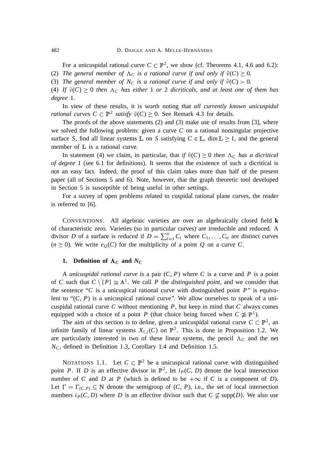For a unicuspidal rational curve  $C \subset \mathbb{P}^2$ , we show (cf. Theorems 4.1, 4.6 and 6.2):

(2) *The general member of*  $\Lambda_C$  *is a rational curve if and only if*  $\tilde{\nu}(C) \geq 0$ *.* 

(3) *The general member of N<sub>C</sub> is a rational curve if and only if*  $\tilde{\nu}(C) > 0$ *.* 

(4) If  $\tilde{v}(C) \ge 0$  then  $\Lambda_C$  has either 1 or 2 dicriticals, and at least one of them has *degree* 1*.*

In view of these results, it is worth noting that *all currently known unicuspidal rational curves*  $C \subset \mathbb{P}^2$  *satisfy*  $\tilde{\nu}(C) \geq 0$ . See Remark 4.3 for details.

The proofs of the above statements (2) and (3) make use of results from [3], where we solved the following problem: given a curve *C* on a rational nonsingular projective surface *S*, find all linear systems  $\mathbb{L}$  on *S* satisfying  $C \in \mathbb{L}$ , dim  $\mathbb{L} \geq 1$ , and the general member of  $\mathbb L$  is a rational curve.

In statement (4) we claim, in particular, that *if*  $\tilde{v}(C) \ge 0$  *then*  $\Lambda_C$  *has a dicritical of degree* 1 (see 6.1 for definitions). It seems that the existence of such a dicritical is not an easy fact. Indeed, the proof of this claim takes more than half of the present paper (all of Sections 5 and 6). Note, however, that the graph theoretic tool developed in Section 5 is susceptible of being useful in other settings.

For a survey of open problems related to cuspidal rational plane curves, the reader is referred to [6].

CONVENTIONS. All algebraic varieties are over an algebraically closed field **k** of characteristic zero. Varieties (so in particular curves) are irreducible and reduced. A divisor *D* of a surface is *reduced* if  $D = \sum_{i=1}^{n} C_i$  where  $C_1, \ldots, C_n$  are distinct curves  $(n \geq 0)$ . We write  $e_Q(C)$  for the multiplicity of a point *Q* on a curve *C*.

# **1.** Definition of  $\Lambda_C$  and  $N_C$

A *unicuspidal rational curve* is a pair (*C*, *P*) where *C* is a curve and *P* is a point of *C* such that  $C \setminus {P} \cong A^1$ . We call *P* the *distinguished point*, and we consider that the sentence " $C$  is a unicuspical rational curve with distinguished point  $P$ " is equivalent to " $(C, P)$  is a unicuspical rational curve". We allow ourselves to speak of a unicuspidal rational curve *C* without mentioning *P*, but keep in mind that *C* always comes equipped with a choice of a point *P* (that choice being forced when  $C \not\cong \mathbb{P}^1$ ).

The aim of this section is to define, given a unicuspidal rational curve  $C \subset \mathbb{P}^2$ , an infinite family of linear systems  $X_{l,j}(C)$  on  $\mathbb{P}^2$ . This is done in Proposition 1.2. We are particularly interested in two of these linear systems, the pencil  $\Lambda_c$  and the net *NC*, defined in Definition 1.3, Corollary 1.4 and Definition 1.5.

NOTATIONS 1.1. Let  $C \subset \mathbb{P}^2$  be a unicuspical rational curve with distinguished point *P*. If *D* is an effective divisor in  $\mathbb{P}^2$ , let  $i_P(C, D)$  denote the local intersection number of *C* and *D* at *P* (which is defined to be  $+\infty$  if *C* is a component of *D*). Let  $\Gamma = \Gamma_{(C,P)} \subseteq \mathbb{N}$  denote the semigroup of  $(C, P)$ , i.e., the set of local intersection numbers  $i_P(C, D)$  where *D* is an effective divisor such that  $C \nsubseteq \text{supp}(D)$ . We also use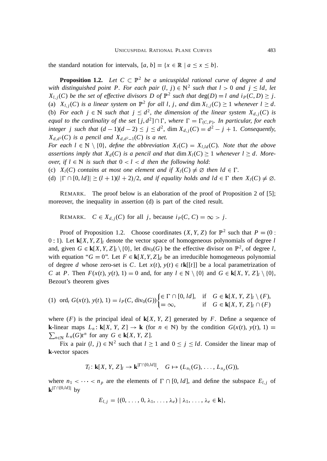the standard notation for intervals,  $[a, b] = \{x \in \mathbb{R} \mid a \le x \le b\}.$ 

**Proposition 1.2.** Let  $C \subset \mathbb{P}^2$  *be a unicuspidal rational curve of degree d and with distinguished point P. For each pair*  $(l, j) \in \mathbb{N}^2$  such that  $l > 0$  and  $j \leq ld$ , let  $X_{l,j}(C)$  *be the set of effective divisors* D *of*  $\mathbb{P}^2$  *such that*  $deg(D) = l$  *and*  $i_P(C,D) \geq j$ . (a)  $X_{l,j}(C)$  *is a linear system on*  $\mathbb{P}^2$  *for all l, j, and* dim  $X_{l,j}(C) \geq 1$  *whenever*  $l \geq d$ *.* (b) For each  $j \in \mathbb{N}$  such that  $j \leq d^2$ , the dimension of the linear system  $X_{d,j}(C)$  is *equal to the cardinality of the set*  $[j, d^2] \cap \Gamma$ , *where*  $\Gamma = \Gamma_{(C, P)}$ *. In particular, for each integer j such that*  $(d-1)(d-2) \le j \le d^2$ ,  $\dim X_{d,j}(C) = d^2 - j + 1$ . Consequently,  $X_{d,d}$ <sup>2</sup>(*C*) *is a pencil and*  $X_{d,d}$ <sup>2</sup>-1(*C*) *is a net.* 

*For each l*  $\in \mathbb{N} \setminus \{0\}$ , *define the abbreviation*  $X_l(C) = X_{l,d}(C)$ *. Note that the above assertions imply that*  $X_d(C)$  *is a pencil and that* dim  $X_l(C) \geq 1$  *whenever*  $l \geq d$ *. Moreover, if*  $l \in \mathbb{N}$  *is such that*  $0 < l < d$  *then the following hold:* 

(c)  $X_l(C)$  *contains at most one element and if*  $X_l(C) \neq \emptyset$  *then*  $ld \in \Gamma$ *.* 

(d)  $|\Gamma \cap [0, ld]| \ge (l + 1)(l + 2)/2$ , and if equality holds and  $ld \in \Gamma$  then  $X_l(C) \neq \emptyset$ .

REMARK. The proof below is an elaboration of the proof of Proposition 2 of [5]; moreover, the inequality in assertion (d) is part of the cited result.

REMARK.  $C \in X_{d,j}(C)$  for all *j*, because  $i_P(C, C) = \infty > j$ .

Proof of Proposition 1.2. Choose coordinates  $(X, Y, Z)$  for  $\mathbb{P}^2$  such that  $P = (0, \mathbb{P}^2)$ 0 : 1). Let  $\mathbf{k}[X, Y, Z]$  denote the vector space of homogeneous polynomials of degree *l* and, given  $G \in \mathbf{k}[X, Y, Z]$  / {0}, let div<sub>0</sub>(*G*) be the effective divisor on  $\mathbb{P}^2$ , of degree *l*, with equation " $G = 0$ ". Let  $F \in k[X, Y, Z]_d$  be an irreducible homogeneous polynomial of degree *d* whose zero-set is *C*. Let  $x(t)$ ,  $y(t) \in t\mathbf{k}[[t]]$  be a local parametrization of *C* at *P*. Then  $F(x(t), y(t), 1) = 0$  and, for any  $l \in \mathbb{N} \setminus \{0\}$  and  $G \in \mathbf{k}[X, Y, Z]$   $\setminus \{0\}$ , Bezout's theorem gives

$$
(1) \ \operatorname{ord}_t G(x(t), y(t), 1) = i_P(C, \operatorname{div}_0(G)) \begin{cases} \in \Gamma \cap [0, \, Id], & \text{if } G \in \mathbf{k}[X, Y, Z]_l \setminus (F), \\ = \infty, & \text{if } G \in \mathbf{k}[X, Y, Z]_l \cap (F) \end{cases}
$$

where  $(F)$  is the principal ideal of  $\mathbf{k}[X, Y, Z]$  generated by *F*. Define a sequence of **k**-linear maps  $L_n$ : **k**[*X*, *Y*, *Z*]  $\rightarrow$  **k** (for  $n \in \mathbb{N}$ ) by the condition  $G(x(t), y(t), 1) =$  $\sum_{n \in \mathbb{N}} L_n(G)t^n$  for any  $G \in \mathbf{k}[X, Y, Z].$ 

Fix a pair  $(l, j) \in \mathbb{N}^2$  such that  $l \ge 1$  and  $0 \le j \le ld$ . Consider the linear map of **k**-vector spaces

$$
T_l: \mathbf{k}[X, Y, Z]_l \to \mathbf{k}^{|\Gamma \cap [0,ld]|}, \quad G \mapsto (L_{n_1}(G), \ldots, L_{n_p}(G)),
$$

where  $n_1 < \cdots < n_p$  are the elements of  $\Gamma \cap [0, ld]$ , and define the subspace  $E_{l,j}$  of  $\mathbf{k}^{|\Gamma \cap [0,ld]|}$  by

$$
E_{l,j} = \{(0,\ldots,0,\lambda_1,\ldots,\lambda_e) \mid \lambda_1,\ldots,\lambda_e \in \mathbf{k}\},\
$$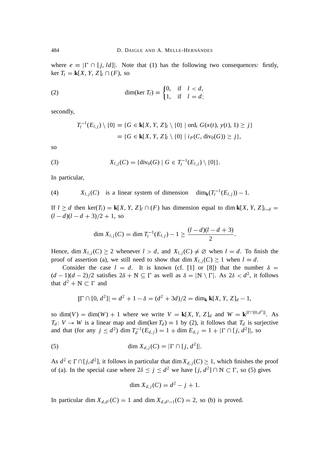where  $e = |\Gamma \cap [j, ld]|$ . Note that (1) has the following two consequences: firstly,  $\ker T_l = \mathbf{k}[X, Y, Z]_l \cap (F)$ , so

(2) 
$$
\dim(\ker T_l) = \begin{cases} 0, & \text{if } l < d, \\ 1, & \text{if } l = d; \end{cases}
$$

secondly,

$$
T_l^{-1}(E_{l,j}) \setminus \{0\} = \{G \in \mathbf{k}[X, Y, Z]_l \setminus \{0\} \mid \text{ord}_t G(x(t), y(t), 1) \geq j\}
$$
  
=  $\{G \in \mathbf{k}[X, Y, Z]_l \setminus \{0\} \mid i_P(C, \text{div}_0(G)) \geq j\},$ 

so

(3) 
$$
X_{l,j}(C) = \{ \text{div}_0(G) \mid G \in T_l^{-1}(E_{l,j}) \setminus \{0\} \}.
$$

In particular,

(4) 
$$
X_{l,j}(C)
$$
 is a linear system of dimension  $\dim_k(T_l^{-1}(E_{l,j})) - 1$ .

If  $l \ge d$  then ker(*T*<sub>*l*</sub>) = **k**[*X*, *Y*, *Z*]<sub>*l*</sub>  $\cap$  (*F*) has dimension equal to dim **k**[*X*, *Y*, *Z*]<sub>*l*-*d*</sub> =  $(l-d)(l-d+3)/2+1$ , so

$$
\dim X_{l,j}(C) = \dim T_l^{-1}(E_{l,j}) - 1 \ge \frac{(l-d)(l-d+3)}{2}.
$$

Hence, dim  $X_{l,i}(C) \geq 2$  whenever  $l > d$ , and  $X_{l,i}(C) \neq \emptyset$  when  $l = d$ . To finish the proof of assertion (a), we still need to show that dim  $X_{l,i}(C) \geq 1$  when  $l = d$ .

Consider the case  $l = d$ . It is known (cf. [1] or [8]) that the number  $\delta =$  $(d-1)(d-2)/2$  satisfies  $2\delta + \mathbb{N} \subseteq \Gamma$  as well as  $\delta = |\mathbb{N} \setminus \Gamma|$ . As  $2\delta < d^2$ , it follows that  $d^2 + \mathbb{N} \subset \Gamma$  and

$$
|\Gamma \cap [0, d^2]| = d^2 + 1 - \delta = (d^2 + 3d)/2 = \dim_{\mathbf{k}} \mathbf{k}[X, Y, Z]_d - 1,
$$

so dim(*V*) = dim(*W*) + 1 where we write  $V = \mathbf{k}[X, Y, Z]_d$  and  $W = \mathbf{k}^{|\Gamma \cap [0,d^2]|}$ . As  $T_d$ :  $V \rightarrow W$  is a linear map and dim(ker  $T_d$ ) = 1 by (2), it follows that  $T_d$  is surjective and that (for any  $j \leq d^2$ ) dim  $T_d^{-1}(E_{d,j}) = 1 + \dim E_{d,j} = 1 + |\Gamma \cap [j, d^2]|$ , so

(5) 
$$
\dim X_{d,j}(C) = |\Gamma \cap [j, d^2]|.
$$

As  $d^2 \in \Gamma \cap [j, d^2]$ , it follows in particular that dim  $X_{d,j}(C) \ge 1$ , which finishes the proof of (a). In the special case where  $2\delta \le j \le d^2$  we have  $[j, d^2] \cap \mathbb{N} \subset \Gamma$ , so (5) gives

$$
\dim X_{d,j}(C) = d^2 - j + 1.
$$

In particular dim  $X_{d,d^2}(C) = 1$  and dim  $X_{d,d^2-1}(C) = 2$ , so (b) is proved.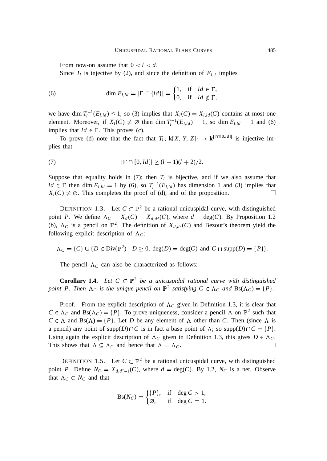From now-on assume that  $0 < l < d$ .

Since  $T_l$  is injective by (2), and since the definition of  $E_{l,j}$  implies

(6) 
$$
\dim E_{l,ld} = |\Gamma \cap \{ld\}| = \begin{cases} 1, & \text{if } ld \in \Gamma, \\ 0, & \text{if } ld \notin \Gamma, \end{cases}
$$

we have dim  $T_l^{-1}(E_{l,ld}) \leq 1$ , so (3) implies that  $X_l(C) = X_{l,ld}(C)$  contains at most one element. Moreover, if  $X_l(C) \neq \emptyset$  then dim  $T_l^{-1}(E_{l,ld}) = 1$ , so dim  $E_{l,ld} = 1$  and (6) implies that  $ld \in \Gamma$ . This proves (c).

To prove (d) note that the fact that  $T_l: \mathbf{k}[X, Y, Z]_l \to \mathbf{k}^{|\Gamma \cap [0,ld]|}$  is injective implies that

(7) 
$$
|\Gamma \cap [0, ld]| \ge (l+1)(l+2)/2.
$$

Suppose that equality holds in  $(7)$ ; then  $T_l$  is bijective, and if we also assume that  $ld \in \Gamma$  then dim  $E_{l,ld} = 1$  by (6), so  $T_l^{-1}(E_{l,ld})$  has dimension 1 and (3) implies that  $X_l(C) \neq \emptyset$ . This completes the proof of (d), and of the proposition.  $\Box$ 

DEFINITION 1.3. Let  $C \subset \mathbb{P}^2$  be a rational unicuspidal curve, with distinguished point *P*. We define  $\Lambda_C = X_d(C) = X_{d,d^2}(C)$ , where  $d = \text{deg}(C)$ . By Proposition 1.2 (b),  $\Lambda_C$  is a pencil on  $\mathbb{P}^2$ . The definition of  $X_{d,d^2}(C)$  and Bezout's theorem yield the following explicit description of  $\Lambda_C$ :

$$
\Lambda_C = \{C\} \cup \{D \in \text{Div}(\mathbb{P}^2) \mid D \ge 0, \text{ deg}(D) = \text{deg}(C) \text{ and } C \cap \text{supp}(D) = \{P\}\}.
$$

The pencil  $\Lambda_C$  can also be characterized as follows:

**Corollary 1.4.** Let  $C \subset \mathbb{P}^2$  be a unicuspidal rational curve with distinguished *point* P. Then  $\Lambda_C$  *is the unique pencil on*  $\mathbb{P}^2$  *satisfying*  $C \in \Lambda_C$  *and*  $Bs(\Lambda_C) = \{P\}$ *.* 

Proof. From the explicit description of  $\Lambda_c$  given in Definition 1.3, it is clear that  $C \in \Lambda_C$  and  $Bs(\Lambda_C) = \{P\}$ . To prove uniqueness, consider a pencil  $\Lambda$  on  $\mathbb{P}^2$  such that  $C \in \Lambda$  and  $Bs(\Lambda) = {P}$ . Let *D* be any element of  $\Lambda$  other than *C*. Then (since  $\Lambda$  is a pencil) any point of supp $(D) \cap C$  is in fact a base point of  $\Lambda$ ; so supp $(D) \cap C = {P}$ . Using again the explicit description of  $\Lambda_C$  given in Definition 1.3, this gives  $D \in \Lambda_C$ . This shows that  $\Lambda \subseteq \Lambda_C$  and hence that  $\Lambda = \Lambda_C$ .  $\Box$ 

DEFINITION 1.5. Let  $C \subset \mathbb{P}^2$  be a rational unicuspidal curve, with distinguished point *P*. Define  $N_C = X_{d,d^2-1}(C)$ , where  $d = \deg(C)$ . By 1.2,  $N_C$  is a net. Observe that  $\Lambda_C \subset N_C$  and that

$$
Bs(N_C) = \begin{cases} \{P\}, & \text{if } \deg C > 1, \\ \varnothing, & \text{if } \deg C = 1. \end{cases}
$$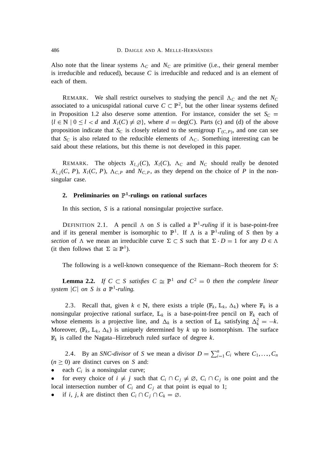Also note that the linear systems  $\Lambda_C$  and  $N_C$  are primitive (i.e., their general member is irreducible and reduced), because *C* is irreducible and reduced and is an element of each of them.

REMARK. We shall restrict ourselves to studying the pencil  $\Lambda_c$  and the net  $N_c$ associated to a unicuspidal rational curve  $C \subset \mathbb{P}^2$ , but the other linear systems defined in Proposition 1.2 also deserve some attention. For instance, consider the set  $S_C$  =  ${l \in \mathbb{N} \mid 0 \le l < d}$  and  $X_l(C) \ne \emptyset$ , where  $d = \text{deg}(C)$ . Parts (c) and (d) of the above proposition indicate that  $S_C$  is closely related to the semigroup  $\Gamma_{(C,P)}$ , and one can see that  $S_C$  is also related to the reducible elements of  $\Lambda_C$ . Something interesting can be said about these relations, but this theme is not developed in this paper.

REMARK. The objects  $X_{l,i}(C)$ ,  $X_l(C)$ ,  $\Lambda_C$  and  $N_C$  should really be denoted  $X_{l,i}(C, P)$ ,  $X_l(C, P)$ ,  $\Lambda_{C,P}$  and  $N_{C,P}$ , as they depend on the choice of *P* in the nonsingular case.

# **2. Preliminaries on**  $\mathbb{P}^1$ **-rulings on rational surfaces**

In this section, *S* is a rational nonsingular projective surface.

DEFINITION 2.1. A pencil  $\Lambda$  on *S* is called a  $\mathbb{P}^1$ -ruling if it is base-point-free and if its general member is isomorphic to  $\mathbb{P}^1$ . If  $\Lambda$  is a  $\mathbb{P}^1$ -ruling of *S* then by a *section* of  $\Lambda$  we mean an irreducible curve  $\Sigma \subset S$  such that  $\Sigma \cdot D = 1$  for any  $D \in \Lambda$ (it then follows that  $\Sigma \cong \mathbb{P}^1$ ).

The following is a well-known consequence of the Riemann–Roch theorem for *S*:

**Lemma 2.2.** *If*  $C \subset S$  *satisfies*  $C \cong \mathbb{P}^1$  *and*  $C^2 = 0$  *then the complete linear system*  $|C|$  *on S is a*  $\mathbb{P}^1$ -ruling.

2.3. Recall that, given  $k \in \mathbb{N}$ , there exists a triple ( $\mathbb{F}_k$ ,  $\mathbb{L}_k$ ,  $\Delta_k$ ) where  $\mathbb{F}_k$  is a nonsingular projective rational surface,  $L_k$  is a base-point-free pencil on  $\mathbb{F}_k$  each of whose elements is a projective line, and  $\Delta_k$  is a section of  $\mathbb{L}_k$  satisfying  $\Delta_k^2 = -k$ . Moreover,  $(\mathbb{F}_k, \mathbb{L}_k, \Delta_k)$  is uniquely determined by k up to isomorphism. The surface <sup>F</sup>*<sup>k</sup>* is called the Nagata–Hirzebruch ruled surface of degree *k*.

2.4. By an *SNC-divisor* of *S* we mean a divisor  $D = \sum_{i=1}^{n} C_i$  where  $C_1, \ldots, C_n$  $(n \geq 0)$  are distinct curves on *S* and:

• each  $C_i$  is a nonsingular curve;

• for every choice of  $i \neq j$  such that  $C_i \cap C_j \neq \emptyset$ ,  $C_i \cap C_j$  is one point and the local intersection number of  $C_i$  and  $C_j$  at that point is equal to 1;

• if *i*, *j*, *k* are distinct then  $C_i \cap C_j \cap C_k = \emptyset$ .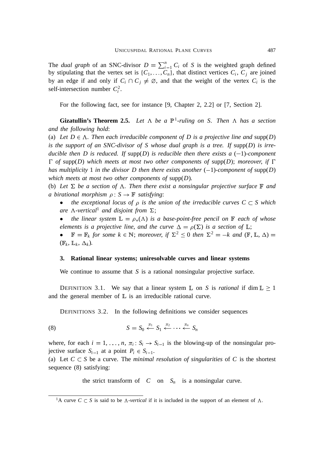The *dual graph* of an SNC-divisor  $D = \sum_{i=1}^{n} C_i$  of *S* is the weighted graph defined by stipulating that the vertex set is  $\{C_1, \ldots, C_n\}$ , that distinct vertices  $C_i$ ,  $C_j$  are joined by an edge if and only if  $C_i \cap C_j \neq \emptyset$ , and that the weight of the vertex  $C_i$  is the self-intersection number  $C_i^2$ .

For the following fact, see for instance [9, Chapter 2, 2.2] or [7, Section 2].

**Gizatullin's Theorem 2.5.** Let  $\Lambda$  be a  $\mathbb{P}^1$ -ruling on S. Then  $\Lambda$  has a section *and the following hold*:

(a) Let  $D \in \Lambda$ . Then each irreducible component of D is a projective line and supp(D) *is the support of an SNC-divisor of S whose dual graph is a tree. If* supp(*D*) *is irreducible then D is reduced. If supp(D) is reducible then there exists a*  $(-1)$ *-component*  $\Gamma$  *of* supp(*D*) *which meets at most two other components of* supp(*D*); *moreover*, *if*  $\Gamma$ *has multiplicity* 1 *in the divisor D then there exists another*  $(-1)$ *-component of* supp $(D)$ *which meets at most two other components of* supp(*D*)*.*

(b) Let  $\Sigma$  be a section of  $\Lambda$ . Then there exist a nonsingular projective surface  $\mathbb F$  and *a birational morphism*  $\rho : S \to \mathbb{F}$  *satisfying*:

- *the exceptional locus of*  $\rho$  *is the union of the irreducible curves*  $C \subset S$  *which are*  $\Lambda$ -vertical<sup>1</sup> and disjoint from  $\Sigma$ ;
- *the linear system*  $\mathbb{L} = \rho_*(\Lambda)$  *is a base-point-free pencil on*  $\mathbb{F}$  *each of whose elements is a projective line, and the curve*  $\Delta = \rho(\Sigma)$  *is a section of*  $\mathbb{L}$ ;

 $\mathbb{F} = \mathbb{F}_k$  *for some*  $k \in \mathbb{N}$ ; *moreover*, *if*  $\Sigma^2 \le 0$  *then*  $\Sigma^2 = -k$  *and*  $(\mathbb{F}, \mathbb{L}, \Delta) =$  $(\mathbb{F}_k, \mathbb{L}_k, \Delta_k)$ .

#### **3. Rational linear systems; uniresolvable curves and linear systems**

We continue to assume that *S* is a rational nonsingular projective surface.

DEFINITION 3.1. We say that a linear system  $\mathbb L$  on *S* is *rational* if dim  $\mathbb L \geq 1$ and the general member of  $\mathbb L$  is an irreducible rational curve.

DEFINITIONS 3.2. In the following definitions we consider sequences

$$
(8) \tS = S_0 \stackrel{\pi_1}{\leftarrow} S_1 \stackrel{\pi_2}{\leftarrow} \cdots \stackrel{\pi_n}{\leftarrow} S_n
$$

where, for each  $i = 1, \ldots, n$ ,  $\pi_i : S_i \to S_{i-1}$  is the blowing-up of the nonsingular projective surface  $S_{i-1}$  at a point  $P_i \in S_{i-1}$ .

(a) Let  $C \subset S$  be a curve. The *minimal resolution of singularities* of C is the shortest sequence (8) satisfying:

the strict transform of  $C$  on  $S_n$  is a nonsingular curve.

<sup>&</sup>lt;sup>1</sup>A curve  $C \subset S$  is said to be  $\Lambda$ -vertical if it is included in the support of an element of  $\Lambda$ .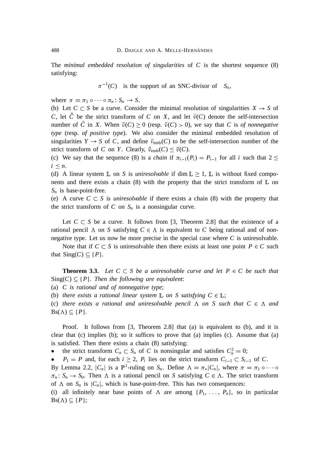The *minimal embedded resolution of singularities* of *C* is the shortest sequence (8) satisfying:

 $\pi^{-1}(C)$  is the support of an SNC-divisor of  $S_n$ ,

where  $\pi = \pi_1 \circ \cdots \circ \pi_n$   $S_n \to S$ .

(b) Let  $C \subset S$  be a curve. Consider the minimal resolution of singularities  $X \to S$  of *C*, let *C* be the strict transform of *C* on *X*, and let  $\tilde{\nu}(C)$  denote the self-intersection number of *C* in *X*. When  $\tilde{\nu}(C) \ge 0$  (resp.  $\tilde{\nu}(C) > 0$ ), we say that *C* is *of nonnegative type* (resp. *of positive type*). We also consider the minimal embedded resolution of singularities  $Y \to S$  of C, and define  $\tilde{\nu}_{emb}(C)$  to be the self-intersection number of the strict transform of *C* on *Y*. Clearly,  $\tilde{\nu}_{emb}(C) \leq \tilde{\nu}(C)$ .

(c) We say that the sequence (8) is a *chain* if  $\pi_{i-1}(P_i) = P_{i-1}$  for all *i* such that  $2 \leq$  $i \leq n$ .

(d) A linear system  $\mathbb L$  on *S* is *uniresolvable* if dim  $\mathbb L \geq 1$ ,  $\mathbb L$  is without fixed components and there exists a chain (8) with the property that the strict transform of  $\mathbb L$  on  $S_n$  is base-point-free.

(e) A curve  $C \subset S$  is *uniresolvable* if there exists a chain (8) with the property that the strict transform of  $C$  on  $S_n$  is a nonsingular curve.

Let  $C \subset S$  be a curve. It follows from [3, Theorem 2.8] that the existence of a rational pencil  $\Lambda$  on *S* satisfying  $C \in \Lambda$  is equivalent to *C* being rational and of nonnegative type. Let us now be more precise in the special case where *C* is uniresolvable.

Note that if  $C \subset S$  is uniresolvable then there exists at least one point  $P \in C$  such that  $Sing(C) \subseteq \{P\}.$ 

**Theorem 3.3.** Let  $C \subset S$  be a uniresolvable curve and let  $P \in C$  be such that  $Sing(C) \subseteq {P}$ *. Then the following are equivalent:* 

(a) *C is rational and of nonnegative type*;

(b) *there exists a rational linear system*  $\mathbb L$  *on S satisfying*  $C \in \mathbb L$ ;

(c) *there exists a rational and uniresolvable pencil*  $\Lambda$  *on*  $S$  *such that*  $C \in \Lambda$  *and*  $Bs(\Lambda) \subseteq \{P\}.$ 

Proof. It follows from [3, Theorem 2.8] that (a) is equivalent to (b), and it is clear that  $(c)$  implies  $(b)$ ; so it suffices to prove that  $(a)$  implies  $(c)$ . Assume that  $(a)$ is satisfied. Then there exists a chain (8) satisfying:

• the strict transform  $C_n \subset S_n$  of C is nonsingular and satisfies  $C_n^2 = 0$ ;

•  $P_1 = P$  and, for each  $i \geq 2$ ,  $P_i$  lies on the strict transform  $C_{i-1} \subset S_{i-1}$  of C.

By Lemma 2.2,  $|C_n|$  is a  $\mathbb{P}^1$ -ruling on  $S_n$ . Define  $\Lambda = \pi_* |C_n|$ , where  $\pi = \pi_1 \circ \cdots \circ$  $\pi_n$ :  $S_n \to S_0$ . Then  $\Lambda$  is a rational pencil on *S* satisfying  $C \in \Lambda$ . The strict transform of  $\Lambda$  on  $S_n$  is  $|C_n|$ , which is base-point-free. This has two consequences:

(i) all infinitely near base points of  $\Lambda$  are among  $\{P_1, \ldots, P_n\}$ , so in particular  $Bs(\Lambda) \subseteq \{P\};$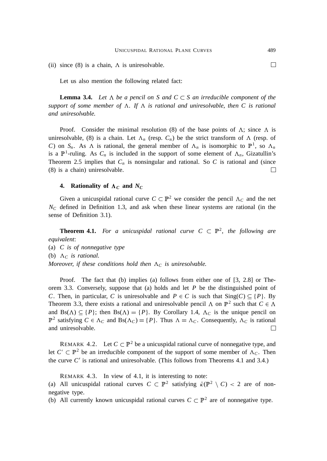(ii) since  $(8)$  is a chain,  $\Lambda$  is uniresolvable.

Let us also mention the following related fact:

**Lemma 3.4.** Let  $\Lambda$  be a pencil on S and  $C \subset S$  an irreducible component of the *support of some member of*  $\Lambda$ . If  $\Lambda$  *is rational and uniresolvable, then C is rational and uniresolvable.*

Proof. Consider the minimal resolution (8) of the base points of  $\Lambda$ ; since  $\Lambda$  is uniresolvable, (8) is a chain. Let  $\Lambda_n$  (resp.  $C_n$ ) be the strict transform of  $\Lambda$  (resp. of *C*) on  $S_n$ . As  $\Lambda$  is rational, the general member of  $\Lambda_n$  is isomorphic to  $\mathbb{P}^1$ , so  $\Lambda_n$ is a  $\mathbb{P}^1$ -ruling. As  $C_n$  is included in the support of some element of  $\Lambda_n$ , Gizatullin's Theorem 2.5 implies that  $C_n$  is nonsingular and rational. So  $C$  is rational and (since (8) is a chain) uniresolvable.  $\Box$ 

# **4.** Rationality of  $\Lambda_C$  and  $N_C$

Given a unicuspidal rational curve  $C \subset \mathbb{P}^2$  we consider the pencil  $\Lambda_C$  and the net  $N_c$  defined in Definition 1.3, and ask when these linear systems are rational (in the sense of Definition 3.1).

**Theorem 4.1.** For a unicuspidal rational curve  $C \subset \mathbb{P}^2$ , the following are *equivalent*: (a) *C is of nonnegative type* (b)  $\Lambda_c$  *is rational. Moreover, if these conditions hold then*  $\Lambda_C$  *is uniresolvable.* 

Proof. The fact that (b) implies (a) follows from either one of [3, 2.8] or Theorem 3.3. Conversely, suppose that (a) holds and let *P* be the distinguished point of *C*. Then, in particular, *C* is uniresolvable and  $P \in C$  is such that  $\text{Sing}(C) \subseteq \{P\}$ . By Theorem 3.3, there exists a rational and uniresolvable pencil  $\Lambda$  on  $\mathbb{P}^2$  such that  $C \in \Lambda$ and  $Bs(\Lambda) \subseteq {P}$ ; then  $Bs(\Lambda) = {P}$ . By Corollary 1.4,  $\Lambda_C$  is the unique pencil on  $\mathbb{P}^2$  satisfying  $C \in \Lambda_C$  and  $Bs(\Lambda_C) = \{P\}$ . Thus  $\Lambda = \Lambda_C$ . Consequently,  $\Lambda_C$  is rational and uniresolvable.  $\Box$ 

REMARK 4.2. Let  $C \subset \mathbb{P}^2$  be a unicuspidal rational curve of nonnegative type, and let  $C' \subset \mathbb{P}^2$  be an irreducible component of the support of some member of  $\Lambda_C$ . Then the curve  $C'$  is rational and uniresolvable. (This follows from Theorems 4.1 and 3.4.)

REMARK 4.3. In view of 4.1, it is interesting to note:

(a) All unicuspidal rational curves  $C \subset \mathbb{P}^2$  satisfying  $\bar{\kappa}(\mathbb{P}^2 \setminus C) < 2$  are of nonnegative type.

(b) All currently known unicuspidal rational curves  $C \subset \mathbb{P}^2$  are of nonnegative type.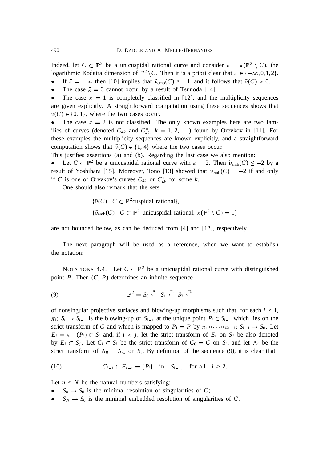Indeed, let  $C \subset \mathbb{P}^2$  be a unicuspidal rational curve and consider  $\bar{\kappa} = \bar{\kappa}(\mathbb{P}^2 \setminus C)$ , the logarithmic Kodaira dimension of  $\mathbb{P}^2 \setminus C$ . Then it is a priori clear that  $\bar{\kappa} \in \{-\infty, 0, 1, 2\}$ .

If  $\bar{\kappa} = -\infty$  then [10] implies that  $\tilde{\nu}_{emb}(C) \ge -1$ , and it follows that  $\tilde{\nu}(C) > 0$ .

• The case  $\bar{k} = 0$  cannot occur by a result of Tsunoda [14].

The case  $\bar{k} = 1$  is completely classified in [12], and the multiplicity sequences are given explicitly. A straightforward computation using these sequences shows that  $\tilde{\nu}(C) \in \{0, 1\}$ , where the two cases occur.

• The case  $\bar{k} = 2$  is not classified. The only known examples here are two families of curves (denoted  $C_{4k}$  and  $C_{4k}^*$ ,  $k = 1, 2, \ldots$ ) found by Orevkov in [11]. For these examples the multiplicity sequences are known explicitly, and a straightforward computation shows that  $\tilde{\nu}(C) \in \{1, 4\}$  where the two cases occur.

This justifies assertions (a) and (b). Regarding the last case we also mention:

• Let  $C \subset \mathbb{P}^2$  be a unicuspidal rational curve with  $\bar{\kappa} = 2$ . Then  $\tilde{\nu}_{emb}(C) \le -2$  by a result of Yoshihara [15]. Moreover, Tono [13] showed that  $\tilde{\nu}_{emb}(C) = -2$  if and only if *C* is one of Orevkov's curves  $C_{4k}$  or  $C_{4k}^*$  for some *k*.

One should also remark that the sets

$$
\{\tilde{\nu}(C) \mid C \subset \mathbb{P}^2 \text{cuspidal rational}\},
$$
  

$$
\{\tilde{\nu}_{\text{emb}}(C) \mid C \subset \mathbb{P}^2 \text{ unicuspidal rational, } \bar{\kappa}(\mathbb{P}^2 \setminus C) = 1\}
$$

are not bounded below, as can be deduced from [4] and [12], respectively.

The next paragraph will be used as a reference, when we want to establish the notation:

NOTATIONS 4.4. Let  $C \subset \mathbb{P}^2$  be a unicuspidal rational curve with distinguished point *P*. Then (*C*, *P*) determines an infinite sequence

$$
\mathbb{P}^2 = S_0 \stackrel{\pi_1}{\leftarrow} S_1 \stackrel{\pi_2}{\leftarrow} S_2 \stackrel{\pi_3}{\leftarrow} \cdots
$$

of nonsingular projective surfaces and blowing-up morphisms such that, for each  $i \geq 1$ ,  $\pi_i$ :  $S_i \to S_{i-1}$  is the blowing-up of  $S_{i-1}$  at the unique point  $P_i \in S_{i-1}$  which lies on the strict transform of *C* and which is mapped to  $P_1 = P$  by  $\pi_1 \circ \cdots \circ \pi_{i-1}$ :  $S_{i-1} \to S_0$ . Let  $E_i = \pi_i^{-1}(P_i) \subset S_i$  and, if  $i < j$ , let the strict transform of  $E_i$  on  $S_j$  be also denoted by  $E_i \subset S_j$ . Let  $C_i \subset S_i$  be the strict transform of  $C_0 = C$  on  $S_i$ , and let  $\Lambda_i$  be the strict transform of  $\Lambda_0 = \Lambda_C$  on  $S_i$ . By definition of the sequence (9), it is clear that

(10) 
$$
C_{i-1} \cap E_{i-1} = \{P_i\}
$$
 in  $S_{i-1}$ , for all  $i \ge 2$ .

Let  $n \leq N$  be the natural numbers satisfying:

- $S_n \to S_0$  is the minimal resolution of singularities of *C*;
- $S_N \to S_0$  is the minimal embedded resolution of singularities of *C*.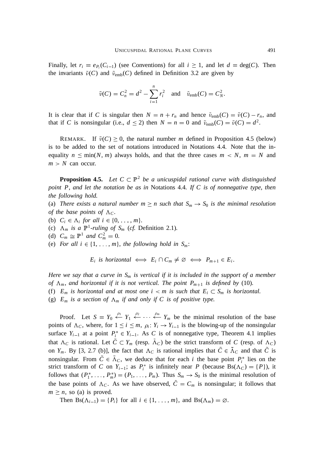Finally, let  $r_i = e_{P_i}(C_{i-1})$  (see Conventions) for all  $i \ge 1$ , and let  $d = \text{deg}(C)$ . Then the invariants  $\tilde{\nu}(C)$  and  $\tilde{\nu}_{emb}(C)$  defined in Definition 3.2 are given by

$$
\tilde{\nu}(C) = C_n^2 = d^2 - \sum_{i=1}^n r_i^2
$$
 and  $\tilde{\nu}_{emb}(C) = C_N^2$ .

It is clear that if *C* is singular then  $N = n + r_n$  and hence  $\tilde{\nu}_{emb}(C) = \tilde{\nu}(C) - r_n$ , and that if *C* is nonsingular (i.e.,  $d \le 2$ ) then  $N = n = 0$  and  $\tilde{\nu}_{emb}(C) = \tilde{\nu}(C) = d^2$ .

REMARK. If  $\tilde{\nu}(C) \ge 0$ , the natural number *m* defined in Proposition 4.5 (below) is to be added to the set of notations introduced in Notations 4.4. Note that the inequality  $n \leq \min(N, m)$  always holds, and that the three cases  $m < N$ ,  $m = N$  and  $m > N$  can occur.

**Proposition 4.5.** Let  $C \subset \mathbb{P}^2$  be a unicuspidal rational curve with distinguished *point P*, *and let the notation be as in* Notations 4.4*. If C is of nonnegative type*, *then the following hold.*

(a) *There exists a natural number*  $m \ge n$  *such that*  $S_m \to S_0$  *is the minimal resolution of the base points of*  $\Lambda_c$ *.* 

- (b)  $C_i \in \Lambda_i$  *for all*  $i \in \{0, \ldots, m\}.$
- (c)  $\Lambda_m$  *is a*  $\mathbb{P}^1$ -ruling of  $S_m$  (*cf.* Definition 2.1)*.*
- (d)  $C_m \cong \mathbb{P}^1$  *and*  $C_m^2 = 0$ *.*
- (e) *For all i*  $\in$  {1,  $\ldots$ , *m*}, *the following hold in*  $S_m$ :

 $E_i$  is horizontal  $\iff E_i \cap C_m \neq \emptyset \iff P_{m+1} \in E_i$ .

*Here we say that a curve in S<sup>m</sup> is vertical if it is included in the support of a member of*  $\Lambda_m$ , and horizontal if it is not vertical. The point  $P_{m+1}$  is defined by (10).

- (f)  $E_m$  *is horizontal and at most one i*  $\lt m$  *is such that*  $E_i \subset S_m$  *is horizontal.*
- (g)  $E_m$  *is a section of*  $\Lambda_m$  *if and only if* C *is of positive type.*

Proof. Let  $S = Y_0 \stackrel{\rho_1}{\leftarrow} Y_1 \stackrel{\rho_2}{\leftarrow} \cdots \stackrel{\rho_m}{\leftarrow} Y_m$  be the minimal resolution of the base points of  $\Lambda_c$ , where, for  $1 \le i \le m$ ,  $\rho_i$ .  $Y_i \to Y_{i-1}$  is the blowing-up of the nonsingular surface  $Y_{i-1}$  at a point  $P_i^* \in Y_{i-1}$ . As *C* is of nonnegative type, Theorem 4.1 implies that  $\Lambda_C$  is rational. Let  $C \subset Y_m$  (resp.  $\Lambda_C$ ) be the strict transform of *C* (resp. of  $\Lambda_C$ ) on *Y<sub>m</sub>*. By [3, 2.7 (b)], the fact that  $\Lambda_C$  is rational implies that  $C \in \Lambda_C$  and that *C* is nonsingular. From  $C \in \Lambda_C$ , we deduce that for each *i* the base point  $P_i^*$  lies on the strict transform of *C* on  $Y_{i-1}$ ; as  $P_i^*$  is infinitely near *P* (because  $Bs(\Lambda_C) = \{P\}$ ), it follows that  $(P_1^*, \ldots, P_m^*) = (P_1, \ldots, P_m)$ . Thus  $S_m \to S_0$  is the minimal resolution of the base points of  $\Lambda_c$ . As we have observed,  $\tilde{C} = C_m$  is nonsingular; it follows that  $m \geq n$ , so (a) is proved.

Then  $Bs(\Lambda_{i-1}) = {P_i}$  for all  $i \in \{1, \ldots, m\}$ , and  $Bs(\Lambda_m) = \emptyset$ .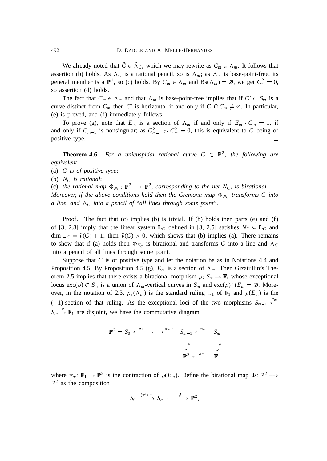We already noted that  $C \in \Lambda_C$ , which we may rewrite as  $C_m \in \Lambda_m$ . It follows that assertion (b) holds. As  $\Lambda_c$  is a rational pencil, so is  $\Lambda_m$ ; as  $\Lambda_m$  is base-point-free, its general member is a  $\mathbb{P}^1$ , so (c) holds. By  $C_m \in \Lambda_m$  and  $Bs(\Lambda_m) = \emptyset$ , we get  $C_m^2 = 0$ , so assertion (d) holds.

The fact that  $C_m \in \Lambda_m$  and that  $\Lambda_m$  is base-point-free implies that if  $C' \subset S_m$  is a curve distinct from  $C_m$  then  $C'$  is horizontal if and only if  $C' \cap C_m \neq \emptyset$ . In particular, (e) is proved, and (f) immediately follows.

To prove (g), note that  $E_m$  is a section of  $\Lambda_m$  if and only if  $E_m \cdot C_m = 1$ , if and only if  $C_{m-1}$  is nonsingular; as  $C_{m-1}^2 > C_m^2 = 0$ , this is equivalent to *C* being of positive type.  $\Box$ 

**Theorem 4.6.** For a unicuspidal rational curve  $C \subset \mathbb{P}^2$ , the following are *equivalent*:

- (a) *C is of positive type*;
- (b) *N<sup>C</sup> is rational*;

(c) the rational map  $\Phi_{N_C}$ :  $\mathbb{P}^2$  -->  $\mathbb{P}^2$ , corresponding to the net  $N_C$ , is birational.

*Moreover, if the above conditions hold then the Cremona map*  $\Phi_{N_C}$  *transforms C into a line, and*  $\Lambda_c$  *into a pencil of "all lines through some point".* 

Proof. The fact that  $(c)$  implies  $(b)$  is trivial. If  $(b)$  holds then parts  $(e)$  and  $(f)$ of [3, 2.8] imply that the linear system  $\mathbb{L}_C$  defined in [3, 2.5] satisfies  $N_C \subseteq \mathbb{L}_C$  and  $\dim \mathbb{L}_C = \tilde{\nu}(C) + 1$ ; then  $\tilde{\nu}(C) > 0$ , which shows that (b) implies (a). There remains to show that if (a) holds then  $\Phi_{N_C}$  is birational and transforms *C* into a line and  $\Lambda_C$ into a pencil of all lines through some point.

Suppose that *C* is of positive type and let the notation be as in Notations 4.4 and Proposition 4.5. By Proposition 4.5 (g),  $E_m$  is a section of  $\Lambda_m$ . Then Gizatullin's Theorem 2.5 implies that there exists a birational morphism  $\rho: S_m \to \mathbb{F}_1$  whose exceptional locus  $\text{exc}(\rho) \subset S_m$  is a union of  $\Lambda_m$ -vertical curves in  $S_m$  and  $\text{exc}(\rho) \cap E_m = \emptyset$ . Moreover, in the notation of 2.3,  $\rho_*(\Lambda_m)$  is the standard ruling  $\mathbb{L}_1$  of  $\mathbb{F}_1$  and  $\rho(E_m)$  is the  $(-1)$ -section of that ruling. As the exceptional loci of the two morphisms  $S_{m-1} \stackrel{\pi_m}{\longleftarrow}$  $S_m \stackrel{\sim}{\rightarrow} \mathbb{F}_1$  are disjoint, we have the commutative diagram

$$
\mathbb{P}^2 = S_0 \xleftarrow{\pi_1} \cdots \xleftarrow{\pi_{m-1}} S_{m-1} \xleftarrow{\pi_m} S_m
$$
\n
$$
\downarrow \bar{\rho} \qquad \qquad \downarrow \rho
$$
\n
$$
\mathbb{P}^2 \xleftarrow{\bar{\pi}_m} \mathbb{F}_1
$$

where  $\bar{\pi}_m : \mathbb{F}_1 \to \mathbb{P}^2$  is the contraction of  $\rho(E_m)$ . Define the birational map  $\Phi : \mathbb{P}^2 \to$  $\mathbb{P}^2$  as the composition

$$
S_0 \xrightarrow{(\pi')^{-1}} S_{m-1} \xrightarrow{\bar{\rho}} \mathbb{P}^2,
$$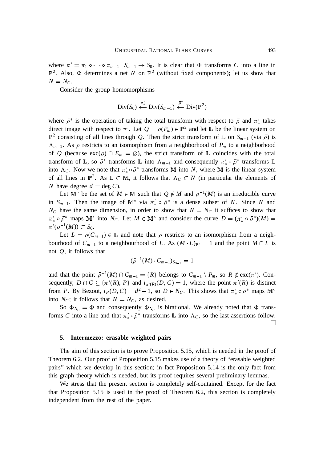where  $\pi' = \pi_1 \circ \cdots \circ \pi_{m-1}$ .  $S_{m-1} \to S_0$ . It is clear that  $\Phi$  transforms *C* into a line in  $\mathbb{P}^2$ . Also,  $\Phi$  determines a net *N* on  $\mathbb{P}^2$  (without fixed components); let us show that  $N = N_C$ .

Consider the group homomorphisms

$$
\text{Div}(S_0) \stackrel{\pi'_*}{\leftarrow} \text{Div}(S_{m-1}) \stackrel{\bar{\rho}^*}{\leftarrow} \text{Div}(\mathbb{P}^2)
$$

where  $\bar{\rho}^*$  is the operation of taking the total transform with respect to  $\bar{\rho}$  and  $\pi'_*$  takes direct image with respect to  $\pi'$ . Let  $Q = \bar{\rho}(P_m) \in \mathbb{P}^2$  and let  $\mathbb{L}$  be the linear system on  $\mathbb{P}^2$  consisting of all lines through *Q*. Then the strict transform of  $\mathbb{L}$  on  $S_{m-1}$  (via  $\bar{\rho}$ ) is  $\Lambda_{m-1}$ . As  $\bar{\rho}$  restricts to an isomorphism from a neighborhood of  $P_m$  to a neighborhood of *Q* (because  $\text{exc}(\rho) \cap E_m = \emptyset$ ), the strict transform of L coincides with the total transform of L, so  $\bar{\rho}^*$  transforms L into  $\Lambda_{m-1}$  and consequently  $\pi'_* \circ \bar{\rho}^*$  transforms L into  $\Lambda_c$ . Now we note that  $\pi'_* \circ \bar{\rho}^*$  transforms M into *N*, where M is the linear system of all lines in  $\mathbb{P}^2$ . As  $\mathbb{L} \subset \mathbb{M}$ , it follows that  $\Lambda_c \subset N$  (in particular the elements of *N* have degree  $d = \text{deg } C$ .

Let  $M^{\circ}$  be the set of  $M \in M$  such that  $Q \notin M$  and  $\bar{\rho}^{-1}(M)$  is an irreducible curve in  $S_{m-1}$ . Then the image of M<sup>°</sup> via  $\pi'_{*} \circ \bar{\rho}^{*}$  is a dense subset of *N*. Since *N* and  $N_c$  have the same dimension, in order to show that  $N = N_c$  it suffices to show that  $\pi'_* \circ \bar{\rho}^*$  maps  $M^{\circ}$  into  $N_C$ . Let  $M \in M^{\circ}$  and consider the curve  $D = (\pi'_* \circ \bar{\rho}^*)(M) =$  $\pi'(\bar{\rho}^{-1}(M)) \subset S_0.$ 

Let  $L = \bar{\rho}(C_{m-1}) \in \mathbb{L}$  and note that  $\bar{\rho}$  restricts to an isomorphism from a neighbourhood of  $C_{m-1}$  to a neighbourhood of *L*. As  $(M \cdot L)_{\mathbb{P}^2} = 1$  and the point  $M \cap L$  is not *Q*, it follows that

$$
(\bar{\rho}^{-1}(M) \cdot C_{m-1})_{S_{m-1}} = 1
$$

and that the point  $\bar{\rho}^{-1}(M) \cap C_{m-1} = \{R\}$  belongs to  $C_{m-1} \setminus P_m$ , so  $R \notin \text{exc}(\pi')$ . Consequently,  $D \cap C \subseteq {\pi'(R), P}$  and  $i_{\pi'(R)}(D, C) = 1$ , where the point  $\pi'(R)$  is distinct from *P*. By Bezout,  $i_P(D, C) = d^2 - 1$ , so  $D \in N_C$ . This shows that  $\pi'_* \circ \bar{\rho}^*$  maps  $\mathbb{M}^{\circ}$ into  $N_C$ ; it follows that  $N = N_C$ , as desired.

So  $\Phi_{N_C} = \Phi$  and consequently  $\Phi_{N_C}$  is birational. We already noted that  $\Phi$  transforms *C* into a line and that  $\pi'_{*} \circ \bar{\rho}^{*}$  transforms  $\mathbb{L}$  into  $\Lambda_C$ , so the last assertions follow.  $\Box$ 

#### **5. Intermezzo: erasable weighted pairs**

The aim of this section is to prove Proposition 5.15, which is needed in the proof of Theorem 6.2. Our proof of Proposition 5.15 makes use of a theory of "erasable weighted pairs" which we develop in this section; in fact Proposition 5.14 is the only fact from this graph theory which is needed, but its proof requires several preliminary lemmas.

We stress that the present section is completely self-contained. Except for the fact that Proposition 5.15 is used in the proof of Theorem 6.2, this section is completely independent from the rest of the paper.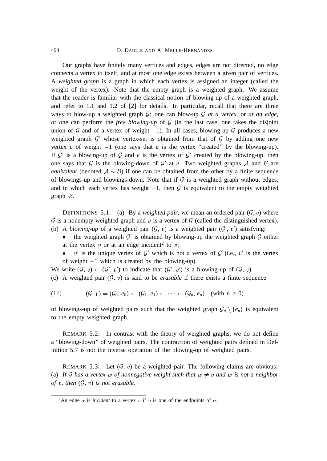Our graphs have finitely many vertices and edges, edges are not directed, no edge connects a vertex to itself, and at most one edge exists between a given pair of vertices. A *weighted graph* is a graph in which each vertex is assigned an integer (called the weight of the vertex). Note that the empty graph is a weighted graph. We assume that the reader is familiar with the classical notion of blowing-up of a weighted graph, and refer to 1.1 and 1.2 of [2] for details. In particular, recall that there are three ways to blow-up a weighted graph G: one can blow-up G *at a vertex*, or *at an edge*, or one can perform the *free blowing-up* of  $G$  (in the last case, one takes the disjoint union of G and of a vertex of weight  $-1$ ). In all cases, blowing-up G produces a new weighted graph  $\mathcal{G}'$  whose vertex-set is obtained from that of  $\mathcal{G}$  by adding one new vertex *e* of weight  $-1$  (one says that *e* is the vertex "created" by the blowing-up). If  $\mathcal{G}'$  is a blowing-up of  $\mathcal G$  and  $e$  is the vertex of  $\mathcal{G}'$  created by the blowing-up, then one says that  $G$  is the blowing-down of  $G'$  at  $e$ . Two weighted graphs  $A$  and  $B$  are *equivalent* (denoted  $A \sim B$ ) if one can be obtained from the other by a finite sequence of blowings-up and blowings-down. Note that if  $G$  is a weighted graph without edges, and in which each vertex has weight  $-1$ , then G is equivalent to the empty weighted graph  $\varnothing$ .

DEFINITIONS 5.1. (a) By a *weighted pair*, we mean an ordered pair  $(G, v)$  where  $\mathcal G$  is a nonempty weighted graph and v is a vertex of  $\mathcal G$  (called the distinguished vertex). (b) A *blowing-up* of a weighted pair  $(G, v)$  is a weighted pair  $(G', v')$  satisfying:

- the weighted graph  $G'$  is obtained by blowing-up the weighted graph  $G$  either at the vertex  $v$  or at an edge incident<sup>2</sup> to  $v$ ;
- v' is the unique vertex of  $\mathcal{G}'$  which is not a vertex of  $\mathcal{G}$  (i.e., v' is the vertex of weight  $-1$  which is created by the blowing-up).

We write  $(\mathcal{G}, v) \leftarrow (\mathcal{G}', v')$  to indicate that  $(\mathcal{G}', v')$  is a blowing-up of  $(\mathcal{G}, v)$ .

(c) A weighted pair  $(G, v)$  is said to be *erasable* if there exists a finite sequence

$$
(11) \qquad (\mathcal{G}, v) = (\mathcal{G}_0, e_0) \leftarrow (\mathcal{G}_1, e_1) \leftarrow \cdots \leftarrow (\mathcal{G}_n, e_n) \quad (\text{with } n \ge 0)
$$

of blowings-up of weighted pairs such that the weighted graph  $\mathcal{G}_n \setminus \{e_n\}$  is equivalent to the empty weighted graph.

REMARK 5.2. In contrast with the theory of weighted graphs, we do not define a "blowing-down" of weighted pairs. The contraction of weighted pairs defined in Definition 5.7 is not the inverse operation of the blowing-up of weighted pairs.

REMARK 5.3. Let  $(G, v)$  be a weighted pair. The following claims are obvious: (a) If G has a vertex w of nonnegative weight such that  $w \neq v$  and w is not a neighbor *of* <sup>v</sup>, *then* (G, <sup>v</sup>) *is not erasable.*

<sup>&</sup>lt;sup>2</sup>An edge  $\alpha$  is *incident* to a vertex v if v is one of the endpoints of  $\alpha$ .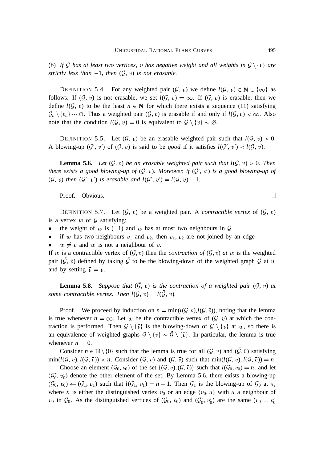(b) If G has at least two vertices, v has negative weight and all weights in  $\mathcal{G}\setminus\{v\}$  are *strictly less than*  $-1$ *, then*  $(G, v)$  *is not erasable.* 

DEFINITION 5.4. For any weighted pair  $(\mathcal{G}, v)$  we define  $l(\mathcal{G}, v) \in \mathbb{N} \cup \{\infty\}$  as follows. If  $(G, v)$  is not erasable, we set  $l(G, v) = \infty$ . If  $(G, v)$  is erasable, then we define  $l(G, v)$  to be the least  $n \in \mathbb{N}$  for which there exists a sequence (11) satisfying  $\mathcal{G}_n \setminus \{e_n\} \sim \emptyset$ . Thus a weighted pair  $(\mathcal{G}, v)$  is erasable if and only if  $l(\mathcal{G}, v) < \infty$ . Also note that the condition  $l(G, v) = 0$  is equivalent to  $G \setminus \{v\} \sim \emptyset$ .

DEFINITION 5.5. Let  $(G, v)$  be an erasable weighted pair such that  $l(G, v) > 0$ . A blowing-up  $(G', v')$  of  $(G, v)$  is said to be *good* if it satisfies  $l(G', v') < l(G, v)$ .

**Lemma 5.6.** Let  $(G, v)$  be an erasable weighted pair such that  $l(G, v) > 0$ . Then *there exists a good blowing-up of*  $(G, v)$ *. Moreover, if*  $(G', v')$  *is a good blowing-up of*  $(\mathcal{G}, v)$  then  $(\mathcal{G}', v')$  is erasable and  $l(\mathcal{G}', v') = l(\mathcal{G}, v) - 1$ .

Proof. Obvious.

DEFINITION 5.7. Let  $(G, v)$  be a weighted pair. A *contractible vertex* of  $(G, v)$ is a vertex  $w$  of  $\mathcal G$  satisfying:

- the weight of w is  $(-1)$  and w has at most two neighbours in  $\mathcal G$
- if w has two neighbours  $v_1$  and  $v_2$ , then  $v_1$ ,  $v_2$  are not joined by an edge
- $w \neq v$  and w is not a neighbour of v.

If w is a contractible vertex of  $(\mathcal{G}, v)$  then the *contraction of*  $(\mathcal{G}, v)$  *at* w is the weighted pair  $(\bar{G}, \bar{v})$  defined by taking  $\bar{G}$  to be the blowing-down of the weighted graph  $G$  at w and by setting  $\bar{v} = v$ .

**Lemma 5.8.** Suppose that  $(\bar{G}, \bar{v})$  is the contraction of a weighted pair  $(\mathcal{G}, v)$  at *some contractible vertex. Then*  $l(\mathcal{G}, v) = l(\bar{\mathcal{G}}, \bar{v})$ *.* 

Proof. We proceed by induction on  $n = \min(l(\mathcal{G}, v), l(\bar{\mathcal{G}}, \bar{v}))$ , noting that the lemma is true whenever  $n = \infty$ . Let w be the contractible vertex of  $(G, v)$  at which the contraction is performed. Then  $\bar{\mathcal{G}} \setminus {\bar{v}}$  is the blowing-down of  $\mathcal{G} \setminus {\bar{v}}$  at w, so there is an equivalence of weighted graphs  $\mathcal{G} \setminus \{v\} \sim \overline{\mathcal{G}} \setminus \{\overline{v}\}\.$  In particular, the lemma is true whenever  $n = 0$ .

Consider  $n \in \mathbb{N} \setminus \{0\}$  such that the lemma is true for all  $(\mathcal{G}, v)$  and  $(\bar{\mathcal{G}}, \bar{v})$  satisfying  $\min(l(\mathcal{G}, v), l(\bar{\mathcal{G}}, \bar{v})) < n$ . Consider  $(\mathcal{G}, v)$  and  $(\bar{\mathcal{G}}, \bar{v})$  such that  $\min(l(\mathcal{G}, v), l(\bar{\mathcal{G}}, \bar{v})) = n$ .

Choose an element  $(G_0, v_0)$  of the set  $\{(\mathcal{G}, v), (\bar{\mathcal{G}}, \bar{v})\}$  such that  $l(\mathcal{G}_0, v_0) = n$ , and let  $(\mathcal{G}'_0, v'_0)$  denote the other element of the set. By Lemma 5.6, there exists a blowing-up  $(\mathcal{G}_0, v_0) \leftarrow (\mathcal{G}_1, v_1)$  such that  $l(\mathcal{G}_1, v_1) = n - 1$ . Then  $\mathcal{G}_1$  is the blowing-up of  $\mathcal{G}_0$  at *x*, where *x* is either the distinguished vertex  $v_0$  or an edge  $\{v_0, u\}$  with *u* a neighbour of  $v_0$  in  $\mathcal{G}_0$ . As the distinguished vertices of  $(\mathcal{G}_0, v_0)$  and  $(\mathcal{G}'_0, v'_0)$  are the same  $(v_0 = v'_0)$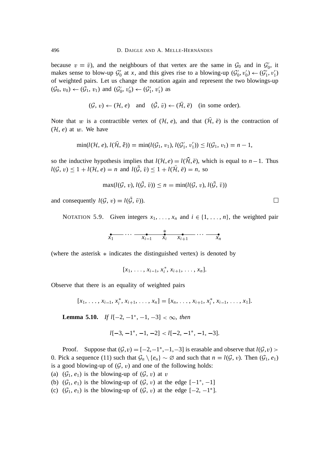because  $v = \bar{v}$ ), and the neighbours of that vertex are the same in  $\mathcal{G}_0$  and in  $\mathcal{G}'_0$ , it makes sense to blow-up  $\mathcal{G}'_0$  at *x*, and this gives rise to a blowing-up  $(\mathcal{G}'_0, v'_0) \leftarrow (\mathcal{G}'_1, v'_1)$ of weighted pairs. Let us change the notation again and represent the two blowings-up  $(\mathcal{G}_0, v_0) \leftarrow (\mathcal{G}_1, v_1)$  and  $(\mathcal{G}'_0, v'_0) \leftarrow (\mathcal{G}'_1, v'_1)$  as

$$
(\mathcal{G}, v) \leftarrow (\mathcal{H}, e)
$$
 and  $(\mathcal{G}, \overline{v}) \leftarrow (\mathcal{H}, e)$  (in some order).

Note that w is a contractible vertex of  $(H, e)$ , and that  $(\overline{H}, \overline{e})$  is the contraction of  $(\mathcal{H}, e)$  at w. We have

$$
\min(l(\mathcal{H}, e), l(\bar{\mathcal{H}}, \bar{e})) = \min(l(\mathcal{G}_1, v_1), l(\mathcal{G}'_1, v'_1)) \le l(\mathcal{G}_1, v_1) = n - 1,
$$

so the inductive hypothesis implies that  $l(\mathcal{H}, e) = l(\bar{\mathcal{H}}, \bar{e})$ , which is equal to  $n-1$ . Thus  $l(\mathcal{G}, v) \leq 1 + l(\mathcal{H}, e) = n$  and  $l(\bar{\mathcal{G}}, \bar{v}) \leq 1 + l(\bar{\mathcal{H}}, e) = n$ , so

$$
\max(l(\mathcal{G}, v), l(\bar{\mathcal{G}}, \bar{v})) \leq n = \min(l(\mathcal{G}, v), l(\bar{\mathcal{G}}, \bar{v}))
$$

and consequently  $l(\mathcal{G}, v) = l(\mathcal{G}, \bar{v})$ .

NOTATION 5.9. Given integers  $x_1, \ldots, x_n$  and  $i \in \{1, \ldots, n\}$ , the weighted pair

$$
\overbrace{x_1}^{\bullet} \cdots \overbrace{x_{i-1}^{\bullet}}^{\bullet} \overbrace{x_i}^{\bullet} \overbrace{x_{i+1}}^{\bullet} \cdots \overbrace{x_n}^{\bullet}
$$

(where the asterisk  $*$  indicates the distinguished vertex) is denoted by

 $[x_1, \ldots, x_{i-1}, x_i^*, x_{i+1}, \ldots, x_n].$ 

Observe that there is an equality of weighted pairs

$$
[x_1, \ldots, x_{i-1}, x_i^*, x_{i+1}, \ldots, x_n] = [x_n, \ldots, x_{i+1}, x_i^*, x_{i-1}, \ldots, x_1].
$$

**Lemma 5.10.** If  $l[-2, -1^*, -1, -3] < \infty$ , then

$$
l[-3, -1^*, -1, -2] < l[-2, -1^*, -1, -3].
$$

Proof. Suppose that  $(\mathcal{G}, v) = [-2, -1^*, -1, -3]$  is erasable and observe that  $l(\mathcal{G}, v)$ 0. Pick a sequence (11) such that  $\mathcal{G}_n \setminus \{e_n\} \sim \emptyset$  and such that  $n = l(\mathcal{G}, v)$ . Then  $(\mathcal{G}_1, e_1)$ is a good blowing-up of  $(G, v)$  and one of the following holds:

- (a)  $(\mathcal{G}_1, e_1)$  is the blowing-up of  $(\mathcal{G}, v)$  at v
- (b)  $(\mathcal{G}_1, e_1)$  is the blowing-up of  $(\mathcal{G}, v)$  at the edge  $[-1^*, -1]$
- (c)  $(\mathcal{G}_1, e_1)$  is the blowing-up of  $(\mathcal{G}, v)$  at the edge  $[-2, -1^*]$ .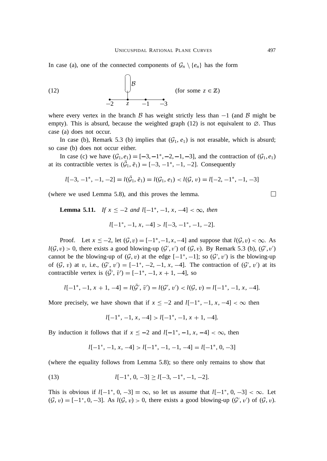In case (a), one of the connected components of  $\mathcal{G}_n \setminus \{e_n\}$  has the form



where every vertex in the branch  $\beta$  has weight strictly less than  $-1$  (and  $\beta$  might be empty). This is absurd, because the weighted graph (12) is not equivalent to  $\varnothing$ . Thus case (a) does not occur.

In case (b), Remark 5.3 (b) implies that  $(G_1, e_1)$  is not erasable, which is absurd; so case (b) does not occur either.

In case (c) we have  $(G_1, e_1) = [-3, -1^*, -2, -1, -3]$ , and the contraction of  $(G_1, e_1)$ at its contractible vertex is  $(\bar{G}_1, \bar{e}_1) = [-3, -1^*, -1, -2]$ . Consequently

$$
l[-3, -1^*, -1, -2] = l(\bar{G}_1, \bar{e}_1) = l(\bar{G}_1, e_1) < l(\bar{G}, v) = l[-2, -1^*, -1, -3]
$$

(where we used Lemma 5.8), and this proves the lemma.

**Lemma 5.11.** *If*  $x \le -2$  *and*  $l[-1^*, -1, x, -4] < \infty$ , *then*  $l[-1^*, -1, x, -4] > l[-3, -1^*, -1, -2].$ 

Proof. Let  $x \le -2$ , let  $(G, v) = [-1^*, -1, x, -4]$  and suppose that  $l(G, v) < \infty$ . As  $l(G, v) > 0$ , there exists a good blowing-up  $(G', v')$  of  $(G, v)$ . By Remark 5.3 (b),  $(G', v')$ cannot be the blowing-up of  $(G, v)$  at the edge  $[-1^*, -1]$ ; so  $(G', v')$  is the blowing-up of  $(\mathcal{G}, v)$  at v, i.e.,  $(\mathcal{G}', v') = [-1^*, -2, -1, x, -4]$ . The contraction of  $(\mathcal{G}', v')$  at its contractible vertex is  $(\bar{G}', \bar{v}') = [-1^*, -1, x+1, -4]$ , so

$$
l[-1^*, -1, x+1, -4] = l(\bar{\mathcal{G}}', \bar{v}') = l(\mathcal{G}', v') < l(\mathcal{G}, v) = l[-1^*, -1, x, -4].
$$

More precisely, we have shown that if  $x \le -2$  and  $l[-1^*, -1, x, -4] < \infty$  then

$$
l[-1^*, -1, x, -4] > l[-1^*, -1, x+1, -4].
$$

By induction it follows that if  $x \le -2$  and  $l[-1^*, -1, x, -4] < \infty$ , then

$$
l[-1^*, -1, x, -4] > l[-1^*, -1, -1, -4] = l[-1^*, 0, -3]
$$

(where the equality follows from Lemma 5.8); so there only remains to show that

(13) 
$$
l[-1^*, 0, -3] \ge l[-3, -1^*, -1, -2].
$$

This is obvious if  $l[-1^*, 0, -3] = \infty$ , so let us assume that  $l[-1^*, 0, -3] < \infty$ . Let  $(\mathcal{G}, v) = [-1^*, 0, -3]$ . As  $l(\mathcal{G}, v) > 0$ , there exists a good blowing-up  $(\mathcal{G}', v')$  of  $(\mathcal{G}, v)$ .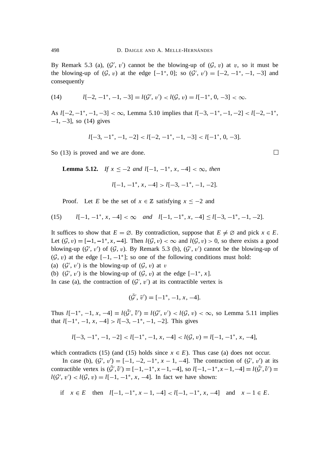By Remark 5.3 (a),  $(\mathcal{G}', v')$  cannot be the blowing-up of  $(\mathcal{G}, v)$  at v, so it must be the blowing-up of  $(G, v)$  at the edge  $[-1^*, 0]$ ; so  $(G', v') = [-2, -1^*, -1, -3]$  and consequently

(14) 
$$
l[-2, -1^*, -1, -3] = l(\mathcal{G}', v') < l(\mathcal{G}, v) = l[-1^*, 0, -3] < \infty.
$$

As  $l[-2, -1^*, -1, -3] < \infty$ , Lemma 5.10 implies that  $l[-3, -1^*, -1, -2] < l[-2, -1^*,$  $-1, -3$ ], so (14) gives

$$
l[-3, -1^*, -1, -2] < l[-2, -1^*, -1, -3] < l[-1^*, 0, -3].
$$

So (13) is proved and we are done.

**Lemma 5.12.** *If*  $x \le -2$  *and*  $l[-1, -1^*, x, -4] < \infty$ , *then* 

$$
l[-1, -1^*, x, -4] > l[-3, -1^*, -1, -2].
$$

Proof. Let *E* be the set of  $x \in \mathbb{Z}$  satisfying  $x \le -2$  and

(15) 
$$
l[-1, -1^*, x, -4] < \infty
$$
 and  $l[-1, -1^*, x, -4] \le l[-3, -1^*, -1, -2]$ .

It suffices to show that  $E = \emptyset$ . By contradiction, suppose that  $E \neq \emptyset$  and pick  $x \in E$ . Let  $(\mathcal{G}, v) = [-1, -1^*, x, -4]$ . Then  $l(\mathcal{G}, v) < \infty$  and  $l(\mathcal{G}, v) > 0$ , so there exists a good blowing-up  $(G', v')$  of  $(G, v)$ . By Remark 5.3 (b),  $(G', v')$  cannot be the blowing-up of  $(\mathcal{G}, v)$  at the edge  $[-1, -1^*]$ ; so one of the following conditions must hold:

(a)  $(\mathcal{G}', v')$  is the blowing-up of  $(\mathcal{G}, v)$  at v

(b)  $(\mathcal{G}', v')$  is the blowing-up of  $(\mathcal{G}, v)$  at the edge  $[-1^*, x]$ .

In case (a), the contraction of  $(\mathcal{G}', v')$  at its contractible vertex is

$$
(\bar{\mathcal{G}}', \bar{v}') = [-1^*, -1, x, -4].
$$

Thus  $l[-1^*, -1, x, -4] = l(G', \bar{v}') = l(G', v') < l(G, v) < \infty$ , so Lemma 5.11 implies that  $l[-1^*, -1, x, -4] > l[-3, -1^*, -1, -2]$ . This gives

$$
l[-3, -1^*, -1, -2] < l[-1^*, -1, x, -4] < l(\mathcal{G}, v) = l[-1, -1^*, x, -4],
$$

which contradicts (15) (and (15) holds since  $x \in E$ ). Thus case (a) does not occur.

In case (b),  $(\mathcal{G}', v') = [-1, -2, -1^*, x - 1, -4]$ . The contraction of  $(\mathcal{G}', v')$  at its contractible vertex is  $(\bar{G}', \bar{v}') = [-1, -1^*, x-1, -4]$ , so  $l[-1, -1^*, x-1, -4] = l(\bar{G}', \bar{v}') =$  $l(G', v') < l(G, v) = l[-1, -1^*, x, -4]$ . In fact we have shown:

if 
$$
x \in E
$$
 then  $l[-1, -1^*, x-1, -4] < l[-1, -1^*, x, -4]$  and  $x-1 \in E$ .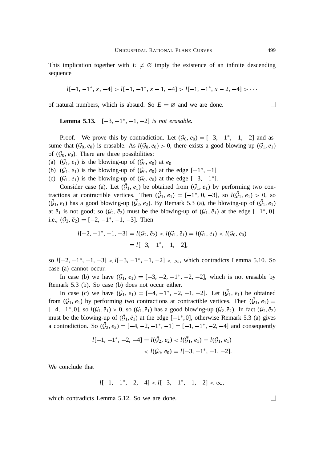This implication together with  $E \neq \emptyset$  imply the existence of an infinite descending sequence

$$
l[-1, -1^*, x, -4] > l[-1, -1^*, x - 1, -4] > l[-1, -1^*, x - 2, -4] > \cdots
$$

of natural numbers, which is absurd. So  $E = \emptyset$  and we are done.

**Lemma 5.13.**  $[-3, -1^*, -1, -2]$  *is not erasable.* 

Proof. We prove this by contradiction. Let  $(\mathcal{G}_0, e_0) = [-3, -1^*, -1, -2]$  and assume that  $(G_0, e_0)$  is erasable. As  $l(G_0, e_0) > 0$ , there exists a good blowing-up  $(G_1, e_1)$ of  $(\mathcal{G}_0, e_0)$ . There are three possibilities:

- (a)  $(\mathcal{G}_1, e_1)$  is the blowing-up of  $(\mathcal{G}_0, e_0)$  at  $e_0$
- (b)  $(\mathcal{G}_1, e_1)$  is the blowing-up of  $(\mathcal{G}_0, e_0)$  at the edge  $[-1^*, -1]$
- (c)  $(\mathcal{G}_1, e_1)$  is the blowing-up of  $(\mathcal{G}_0, e_0)$  at the edge  $[-3, -1^*]$ .

Consider case (a). Let  $(\bar{G}_1, \bar{e}_1)$  be obtained from  $(\mathcal{G}_1, e_1)$  by performing two contractions at contractible vertices. Then  $(\bar{G}_1, \bar{e}_1) = [-1^*, 0, -3]$ , so  $l(\bar{G}_1, \bar{e}_1) > 0$ , so  $(\bar{G}_1, \bar{e}_1)$  has a good blowing-up  $(\bar{G}_2, \bar{e}_2)$ . By Remark 5.3 (a), the blowing-up of  $(\bar{G}_1, \bar{e}_1)$ at  $\bar{e}_1$  is not good; so  $(\bar{G}_2, \bar{e}_2)$  must be the blowing-up of  $(\bar{G}_1, \bar{e}_1)$  at the edge  $[-1^*, 0]$ , i.e.,  $(\bar{\mathcal{G}}_2, \bar{e}_2) = [-2, -1^*, -1, -3]$ . Then

$$
l[-2, -1^*, -1, -3] = l(\bar{\mathcal{G}}_2, \bar{e}_2) < l(\bar{\mathcal{G}}_1, \bar{e}_1) = l(\mathcal{G}_1, e_1) < l(\mathcal{G}_0, e_0) \\
= l[-3, -1^*, -1, -2],
$$

so  $l[-2, -1^*, -1, -3] < l[-3, -1^*, -1, -2] < \infty$ , which contradicts Lemma 5.10. So case (a) cannot occur.

In case (b) we have  $(G_1, e_1) = [-3, -2, -1^*, -2, -2]$ , which is not erasable by Remark 5.3 (b). So case (b) does not occur either.

In case (c) we have  $(G_1, e_1) = [-4, -1^*, -2, -1, -2]$ . Let  $(\bar{G}_1, \bar{e}_1)$  be obtained from  $(\mathcal{G}_1, e_1)$  by performing two contractions at contractible vertices. Then  $(\bar{\mathcal{G}}_1, \bar{e}_1)$  =  $[-4, -1^*, 0]$ , so  $l(\bar{G}_1, \bar{e}_1) > 0$ , so  $(\bar{G}_1, \bar{e}_1)$  has a good blowing-up  $(\bar{G}_2, \bar{e}_2)$ . In fact  $(\bar{G}_2, \bar{e}_2)$ must be the blowing-up of  $(\bar{G}_1, \bar{e}_1)$  at the edge  $[-1^*, 0]$ , otherwise Remark 5.3 (a) gives a contradiction. So  $(\bar{G}_2, \bar{e}_2) = [-4, -2, -1^*, -1] = [-1, -1^*, -2, -4]$  and consequently

$$
l[-1, -1^*, -2, -4] = l(\bar{G}_2, \bar{e}_2) < l(\bar{G}_1, \bar{e}_1) = l(G_1, e_1) \\
&< l(G_0, e_0) = l[-3, -1^*, -1, -2].
$$

We conclude that

$$
l[-1, -1^*, -2, -4] < l[-3, -1^*, -1, -2] < \infty
$$

which contradicts Lemma 5.12. So we are done.

 $\Box$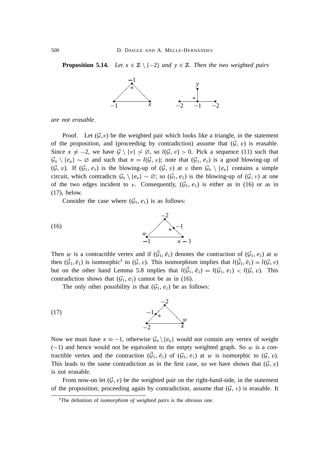**Proposition 5.14.** *Let*  $x \in \mathbb{Z} \setminus \{-2\}$  *and*  $y \in \mathbb{Z}$ *. Then the two weighted pairs* 



*are not erasable.*

Proof. Let  $(G, v)$  be the weighted pair which looks like a triangle, in the statement of the proposition, and (proceeding by contradiction) assume that  $(G, v)$  is erasable. Since  $x \neq -2$ , we have  $\mathcal{G} \setminus \{v\} \neq \emptyset$ , so  $l(\mathcal{G}, v) > 0$ . Pick a sequence (11) such that  $\mathcal{G}_n \setminus \{e_n\} \sim \emptyset$  and such that  $n = l(\mathcal{G}, v)$ ; note that  $(\mathcal{G}_1, e_1)$  is a good blowing-up of (G, v). If  $(G_1, e_1)$  is the blowing-up of  $(G, v)$  at v then  $G_n \setminus \{e_n\}$  contains a simple circuit, which contradicts  $G_n \setminus \{e_n\} \sim \emptyset$ ; so  $(G_1, e_1)$  is the blowing-up of  $(G, v)$  at one of the two edges incident to v. Consequently,  $(G_1, e_1)$  is either as in (16) or as in (17), below.

Consider the case where  $(\mathcal{G}_1, e_1)$  is as follows:



Then w is a contractible vertex and if  $(\bar{G}_1, \bar{e}_1)$  denotes the contraction of  $(\mathcal{G}_1, e_1)$  at w then  $(\bar{G}_1, \bar{e}_1)$  is isomorphic<sup>3</sup> to  $(\mathcal{G}, v)$ . This isomorphism implies that  $l(\bar{G}_1, \bar{e}_1) = l(\mathcal{G}, v)$ but on the other hand Lemma 5.8 implies that  $l(\bar{G}_1, \bar{e}_1) = l(\mathcal{G}_1, e_1) < l(\mathcal{G}, v)$ . This contradiction shows that  $(\mathcal{G}_1, e_1)$  cannot be as in (16).

The only other possibility is that  $(\mathcal{G}_1, e_1)$  be as follows:



Now we must have  $x = -1$ , otherwise  $G_n \backslash \{e_n\}$  would not contain any vertex of weight  $(-1)$  and hence would not be equivalent to the empty weighted graph. So w is a contractible vertex and the contraction  $(\bar{G}_1, \bar{e}_1)$  of  $(G_1, e_1)$  at w is isomorphic to  $(G, v)$ . This leads to the same contradiction as in the first case, so we have shown that  $(G, v)$ is not erasable.

From now-on let  $(G, v)$  be the weighted pair on the right-hand-side, in the statement of the proposition; proceeding again by contradiction, assume that  $(G, v)$  is erasable. It

<sup>3</sup>The definition of *isomorphism of weighted pairs* is the obvious one.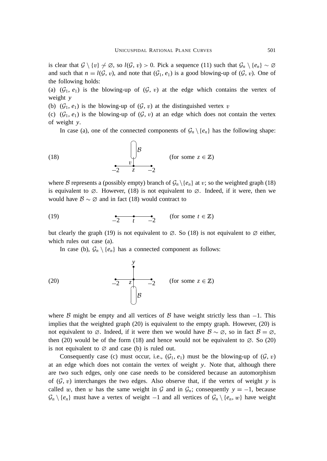is clear that  $G \setminus \{v\} \not\sim \emptyset$ , so  $l(G, v) > 0$ . Pick a sequence (11) such that  $\mathcal{G}_n \setminus \{e_n\} \sim \emptyset$ and such that  $n = l(G, v)$ , and note that  $(G_1, e_1)$  is a good blowing-up of  $(G, v)$ . One of the following holds:

(a)  $(\mathcal{G}_1, e_1)$  is the blowing-up of  $(\mathcal{G}, v)$  at the edge which contains the vertex of weight *y*

(b)  $(\mathcal{G}_1, e_1)$  is the blowing-up of  $(\mathcal{G}, v)$  at the distinguished vertex v

(c)  $(\mathcal{G}_1, e_1)$  is the blowing-up of  $(\mathcal{G}, v)$  at an edge which does not contain the vertex of weight *y*.

In case (a), one of the connected components of  $\mathcal{G}_n \setminus \{e_n\}$  has the following shape:

(18) 
$$
\begin{array}{c}\n\bigcap_{v} B \\
\hline\n-2 & z & -2\n\end{array}
$$
 (for some  $z \in \mathbb{Z}$ )

where B represents a (possibly empty) branch of  $\mathcal{G}_n \setminus \{e_n\}$  at v; so the weighted graph (18) is equivalent to  $\varnothing$ . However, (18) is not equivalent to  $\varnothing$ . Indeed, if it were, then we would have  $\mathcal{B} \sim \emptyset$  and in fact (18) would contract to

(19) 
$$
\underbrace{\bullet}{-2} \underbrace{\bullet}{t} - \underbrace{\bullet}{-2}
$$
 (for some  $t \in \mathbb{Z}$ )

but clearly the graph (19) is not equivalent to  $\varnothing$ . So (18) is not equivalent to  $\varnothing$  either, which rules out case (a).

In case (b),  $\mathcal{G}_n \setminus \{e_n\}$  has a connected component as follows:

(20) 
$$
\begin{array}{c|c}\n & y \\
\hline\n-2 & z & -2 \\
\hline\n\end{array}
$$
 (for some  $z \in \mathbb{Z}$ )

where B might be empty and all vertices of B have weight strictly less than  $-1$ . This implies that the weighted graph (20) is equivalent to the empty graph. However, (20) is not equivalent to  $\emptyset$ . Indeed, if it were then we would have  $\emptyset \sim \emptyset$ , so in fact  $\emptyset = \emptyset$ , then (20) would be of the form (18) and hence would not be equivalent to  $\varnothing$ . So (20) is not equivalent to  $\varnothing$  and case (b) is ruled out.

Consequently case (c) must occur, i.e.,  $(\mathcal{G}_1, e_1)$  must be the blowing-up of  $(\mathcal{G}, v)$ at an edge which does not contain the vertex of weight *y*. Note that, although there are two such edges, only one case needs to be considered because an automorphism of  $(G, v)$  interchanges the two edges. Also observe that, if the vertex of weight *y* is called w, then w has the same weight in G and in  $\mathcal{G}_n$ ; consequently  $y = -1$ , because  $\mathcal{G}_n \setminus \{e_n\}$  must have a vertex of weight  $-1$  and all vertices of  $\mathcal{G}_n \setminus \{e_n, w\}$  have weight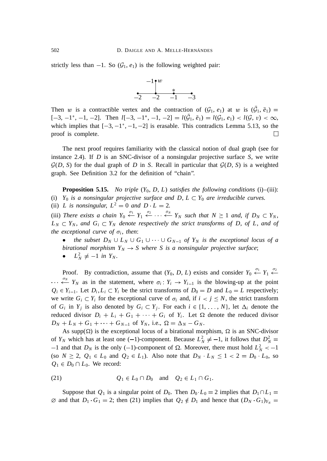strictly less than  $-1$ . So  $(\mathcal{G}_1, e_1)$  is the following weighted pair:



Then w is a contractible vertex and the contraction of  $(G_1, e_1)$  at w is  $(\bar{G}_1, \bar{e}_1)$  $[-3, -1^*, -1, -2]$ . Then  $l[-3, -1^*, -1, -2] = l(\bar{G}_1, \bar{e}_1) = l(\bar{G}_1, e_1) < l(\bar{G}, v) < \infty$ , which implies that  $[-3, -1^*, -1, -2]$  is erasable. This contradicts Lemma 5.13, so the proof is complete.  $\Box$ 

The next proof requires familiarity with the classical notion of dual graph (see for instance 2.4). If *D* is an SNC-divisor of a nonsingular projective surface *S*, we write  $G(D, S)$  for the dual graph of *D* in *S*. Recall in particular that  $G(D, S)$  is a weighted graph. See Definition 3.2 for the definition of "chain".

**Proposition 5.15.** *No triple*  $(Y_0, D, L)$  *satisfies the following conditions* (i)–(iii): (i)  $Y_0$  *is a nonsingular projective surface and D, L*  $\subset$   $Y_0$  *are irreducible curves.* 

(ii) *L* is nonsingular,  $L^2 = 0$  and  $D \cdot L = 2$ .

(iii) There exists a chain  $Y_0 \stackrel{\sigma_1}{\leftarrow} Y_1 \stackrel{\sigma_2}{\leftarrow} \cdots \stackrel{\sigma_N}{\leftarrow} Y_N$  such that  $N \ge 1$  and, if  $D_N \subset Y_N$ ,  $L_N \subset Y_N$ , and  $G_i \subset Y_N$  denote respectively the strict transforms of D, of L, and of *the exceptional curve of*  $\sigma_i$ , *then*:

*the subset*  $D_N \cup L_N \cup G_1 \cup \cdots \cup G_{N-1}$  *of*  $Y_N$  *is the exceptional locus of a birational morphism*  $Y_N \to S$  where S is a nonsingular projective surface;

•  $L_N^2 \neq -1$  *in*  $Y_N$ *.* 

Proof. By contradiction, assume that  $(Y_0, D, L)$  exists and consider  $Y_0 \xleftarrow{\sigma_1} Y_1 \xleftarrow{\sigma_2} Y_2$  $\cdots$   $\overset{\sigma_N}{\leftarrow} Y_N$  as in the statement, where  $\sigma_i: Y_i \rightarrow Y_{i-1}$  is the blowing-up at the point  $Q_i \in Y_{i-1}$ . Let  $D_i, L_i \subset Y_i$  be the strict transforms of  $D_0 = D$  and  $L_0 = L$  respectively; we write  $G_i \subset Y_i$  for the exceptional curve of  $\sigma_i$  and, if  $i < j \le N$ , the strict transform of  $G_i$  in  $Y_j$  is also denoted by  $G_i \subset Y_j$ . For each  $i \in \{1, \ldots, N\}$ , let  $\Delta_i$  denote the reduced divisor  $D_i + L_i + G_1 + \cdots + G_i$  of  $Y_i$ . Let  $\Omega$  denote the reduced divisor  $D_N + L_N + G_1 + \cdots + G_{N-1}$  of  $Y_N$ , i.e.,  $\Omega = \Delta_N - G_N$ .

As supp( $\Omega$ ) is the exceptional locus of a birational morphism,  $\Omega$  is an SNC-divisor of  $Y_N$  which has at least one (-1)-component. Because  $L_N^2 \neq -1$ , it follows that  $D_N^2 =$  $-1$  and that  $D_N$  is the only (-1)-component of  $\Omega$ . Moreover, there must hold  $L_N^2 < -1$ (so  $N \geq 2$ ,  $Q_1 \in L_0$  and  $Q_2 \in L_1$ ). Also note that  $D_N \cdot L_N \leq 1 < 2 = D_0 \cdot L_0$ , so  $Q_1 \in D_0 \cap L_0$ . We record:

$$
(21) \tQ_1 \in L_0 \cap D_0 \quad \text{and} \quad Q_2 \in L_1 \cap G_1.
$$

Suppose that  $Q_1$  is a singular point of  $D_0$ . Then  $D_0$   $L_0 = 2$  implies that  $D_1 \cap L_1 =$  $\emptyset$  and that  $D_1 \cdot G_1 = 2$ ; then (21) implies that  $Q_2 \notin D_1$  and hence that  $(D_N \cdot G_1)_{Y_N} =$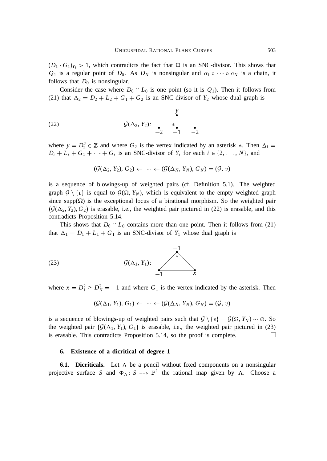$(D_1 \cdot G_1)_{Y_1} > 1$ , which contradicts the fact that  $\Omega$  is an SNC-divisor. This shows that  $Q_1$  is a regular point of  $D_0$ . As  $D_N$  is nonsingular and  $\sigma_1 \circ \cdots \circ \sigma_N$  is a chain, it follows that  $D_0$  is nonsingular.

Consider the case where  $D_0 \cap L_0$  is one point (so it is  $Q_1$ ). Then it follows from (21) that  $\Delta_2 = D_2 + L_2 + G_1 + G_2$  is an SNC-divisor of  $Y_2$  whose dual graph is

(22) 
$$
\mathcal{G}(\Delta_2, Y_2): \begin{array}{c} y \\ * \\ -2 & -1 \end{array}
$$

where  $y = D_2^2 \in \mathbb{Z}$  and where  $G_2$  is the vertex indicated by an asterisk  $*$ . Then  $\Delta_i =$  $D_i + L_i + G_1 + \cdots + G_i$  is an SNC-divisor of  $Y_i$  for each  $i \in \{2, \ldots, N\}$ , and

$$
(\mathcal{G}(\Delta_2, Y_2), G_2) \leftarrow \cdots \leftarrow (\mathcal{G}(\Delta_N, Y_N), G_N) = (\mathcal{G}, v)
$$

is a sequence of blowings-up of weighted pairs (cf. Definition 5.1). The weighted graph  $\mathcal{G} \setminus \{v\}$  is equal to  $\mathcal{G}(\Omega, Y_N)$ , which is equivalent to the empty weighted graph since supp $(\Omega)$  is the exceptional locus of a birational morphism. So the weighted pair  $(\mathcal{G}(\Delta_2, Y_2), G_2)$  is erasable, i.e., the weighted pair pictured in (22) is erasable, and this contradicts Proposition 5.14.

This shows that  $D_0 \cap L_0$  contains more than one point. Then it follows from (21) that  $\Delta_1 = D_1 + L_1 + G_1$  is an SNC-divisor of  $Y_1$  whose dual graph is

(23) 
$$
G(\Delta_1, Y_1): \begin{array}{c} -1 \\ \searrow \\ -1 \end{array}
$$

where  $x = D_1^2 \geq D_N^2 = -1$  and where  $G_1$  is the vertex indicated by the asterisk. Then

$$
(\mathcal{G}(\Delta_1, Y_1), G_1) \leftarrow \cdots \leftarrow (\mathcal{G}(\Delta_N, Y_N), G_N) = (\mathcal{G}, v)
$$

is a sequence of blowings-up of weighted pairs such that  $\mathcal{G} \setminus \{v\} = \mathcal{G}(\Omega, Y_N) \sim \emptyset$ . So the weighted pair  $(\mathcal{G}(\Delta_1, Y_1), G_1)$  is erasable, i.e., the weighted pair pictured in (23) is erasable. This contradicts Proposition 5.14, so the proof is complete.  $\Box$ 

#### **6. Existence of a dicritical of degree 1**

**6.1. Dicriticals.** Let  $\Lambda$  be a pencil without fixed components on a nonsingular projective surface *S* and  $\Phi_{\Lambda}: S \dashrightarrow \mathbb{P}^1$  the rational map given by  $\Lambda$ . Choose a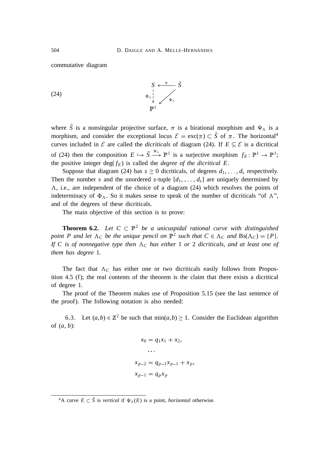commutative diagram

(24) 
$$
\begin{array}{ccc}\nS & \xleftarrow{\pi} & \tilde{S} \\
\Phi_{\Lambda} & \downarrow & \downarrow \\
\downarrow & \downarrow & \downarrow\n\end{array}
$$

where *S* is a nonsingular projective surface,  $\pi$  is a birational morphism and  $\Psi_{\Lambda}$  is a morphism, and consider the exceptional locus  $\mathcal{E} = \text{exc}(\pi) \subset \tilde{S}$  of  $\pi$ . The horizontal<sup>4</sup> curves included in  $\mathcal E$  are called the *dicriticals* of diagram (24). If  $E \subseteq \mathcal E$  is a dicritical of (24) then the composition  $E \hookrightarrow \tilde{S} \stackrel{\Psi_A}{\longrightarrow} \mathbb{P}^1$  is a surjective morphism  $f_E: \mathbb{P}^1 \to \mathbb{P}^1$ ; the positive integer  $deg(f_E)$  is called the *degree of the dicritical* E.

Suppose that diagram (24) has  $s \ge 0$  dicriticals, of degrees  $d_1, \ldots, d_s$  respectively. Then the number *s* and the unordered *s*-tuple  $[d_1, \ldots, d_s]$  are uniquely determined by  $\Lambda$ , i.e., are independent of the choice of a diagram (24) which resolves the points of indeterminacy of  $\Phi_{\Lambda}$ . So it makes sense to speak of the number of dicriticals "of  $\Lambda$ ", and of the degrees of these dicriticals.

The main objective of this section is to prove:

**Theorem 6.2.** Let  $C \subset \mathbb{P}^2$  be a unicuspidal rational curve with distinguished *point* P and let  $\Lambda_C$  *be the unique pencil on*  $\mathbb{P}^2$  *such that*  $C \in \Lambda_C$  *and*  $Bs(\Lambda_C) = \{P\}$ *. If* C is of nonnegative type then  $\Lambda_C$  has either 1 *or* 2 *dicriticals*, *and at least one of them has degree* 1*.*

The fact that  $\Lambda_c$  has either one or two dicriticals easily follows from Proposition 4.5 (f); the real contents of the theorem is the claim that there exists a dicritical of degree 1.

The proof of the Theorem makes use of Proposition 5.15 (see the last sentence of the proof). The following notation is also needed:

6.3. Let  $(a,b) \in \mathbb{Z}^2$  be such that  $\min(a,b) \ge 1$ . Consider the Euclidean algorithm of (*a*, *b*):

$$
x_0 = q_1 x_1 + x_2,
$$
  
\n...  
\n
$$
x_{p-2} = q_{p-1} x_{p-1} + x_p,
$$
  
\n
$$
x_{p-1} = q_p x_p
$$

<sup>&</sup>lt;sup>4</sup>A curve  $E \subset \tilde{S}$  is *vertical* if  $\Psi_{\Lambda}(E)$  is a point, *horizontal* otherwise.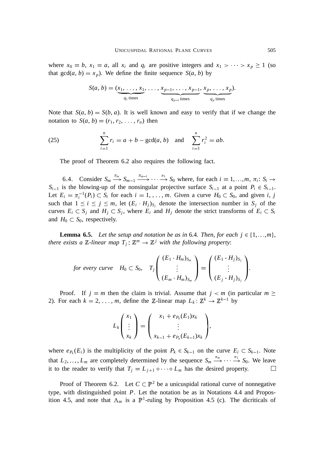where  $x_0 = b$ ,  $x_1 = a$ , all  $x_i$  and  $q_i$  are positive integers and  $x_1 > \cdots > x_p \ge 1$  (so that  $gcd(a, b) = x_p$ ). We define the finite sequence  $S(a, b)$  by

$$
S(a, b) = (\underbrace{x_1, \ldots, x_1}_{q_1 \text{ times}}, \ldots, \underbrace{x_{p-1}, \ldots, x_{p-1}}_{q_{p-1} \text{ times}}, \underbrace{x_p, \ldots, x_p}_{q_p \text{ times}}).
$$

Note that  $S(a, b) = S(b, a)$ . It is well known and easy to verify that if we change the notation to  $S(a, b) = (r_1, r_2, \ldots, r_n)$  then

(25) 
$$
\sum_{i=1}^{n} r_i = a + b - \gcd(a, b) \text{ and } \sum_{i=1}^{n} r_i^2 = ab.
$$

The proof of Theorem 6.2 also requires the following fact.

6.4. Consider  $S_m \stackrel{\pi_m}{\longrightarrow} S_{m-1} \stackrel{\pi_{m-1}}{\longrightarrow} \cdots \stackrel{\pi_1}{\longrightarrow} S_0$  where, for each  $i = 1, ..., m, \pi_i$ :  $S_i \rightarrow$  $S_{i-1}$  is the blowing-up of the nonsingular projective surface  $S_{i-1}$  at a point  $P_i \in S_{i-1}$ . Let  $E_i = \pi_i^{-1}(P_i) \subset S_i$  for each  $i = 1, \ldots, m$ . Given a curve  $H_0 \subset S_0$ , and given *i*, *j* such that  $1 \le i \le j \le m$ , let  $(E_i \cdot H_j)_{S_j}$  denote the intersection number in  $S_j$  of the curves  $E_i \subset S_j$  and  $H_j \subset S_j$ , where  $E_i$  and  $H_j$  denote the strict transforms of  $E_i \subset S_i$ and  $H_0 \subset S_0$ , respectively.

**Lemma 6.5.** Let the setup and notation be as in 6.4. Then, for each  $j \in \{1, \ldots, m\}$ , *there exists a*  $\mathbb{Z}$ -linear map  $T_j : \mathbb{Z}^m \to \mathbb{Z}^j$  with the following property:

for every curve 
$$
H_0 \subset S_0
$$
,  $T_j \begin{pmatrix} (E_1 \cdot H_m)_{S_m} \\ \vdots \\ (E_m \cdot H_m)_{S_m} \end{pmatrix} = \begin{pmatrix} (E_1 \cdot H_j)_{S_j} \\ \vdots \\ (E_j \cdot H_j)_{S_j} \end{pmatrix}$ .

Proof. If  $j = m$  then the claim is trivial. Assume that  $j < m$  (in particular  $m \geq$ 2). For each  $k = 2, ..., m$ , define the Z-linear map  $L_k$ :  $\mathbb{Z}^k \to \mathbb{Z}^{k-1}$  by

$$
L_k\begin{pmatrix}x_1\\ \vdots\\ x_k\end{pmatrix}=\begin{pmatrix}x_1+e_{P_k}(E_1)x_k\\ \vdots\\ x_{k-1}+e_{P_k}(E_{k-1})x_k\end{pmatrix},
$$

where  $e_{P_k}(E_i)$  is the multiplicity of the point  $P_k \in S_{k-1}$  on the curve  $E_i \subset S_{k-1}$ . Note that  $L_2, \ldots, L_m$  are completely determined by the sequence  $S_m \xrightarrow{\pi_m} \cdots \xrightarrow{\pi_1} S_0$ . We leave it to the reader to verify that  $T_j = L_{j+1} \circ \cdots \circ L_m$  has the desired property.  $\Box$ 

Proof of Theorem 6.2. Let  $C \subset \mathbb{P}^2$  be a unicuspidal rational curve of nonnegative type, with distinguished point *P*. Let the notation be as in Notations 4.4 and Proposition 4.5, and note that  $\Lambda_m$  is a  $\mathbb{P}^1$ -ruling by Proposition 4.5 (c). The dicriticals of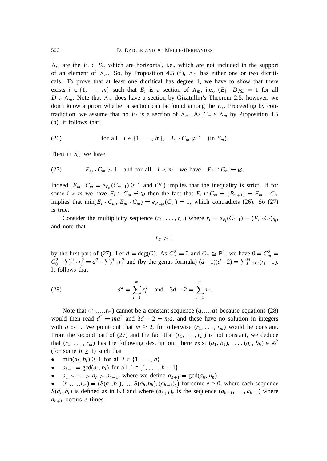$\Lambda_c$  are the  $E_i \subset S_m$  which are horizontal, i.e., which are not included in the support of an element of  $\Lambda_m$ . So, by Proposition 4.5 (f),  $\Lambda_c$  has either one or two dicriticals. To prove that at least one dicritical has degree 1, we have to show that there exists  $i \in \{1, \ldots, m\}$  such that  $E_i$  is a section of  $\Lambda_m$ , i.e.,  $(E_i \cdot D)_{S_m} = 1$  for all  $D \in \Lambda_m$ . Note that  $\Lambda_m$  does have a section by Gizatullin's Theorem 2.5; however, we don't know a priori whether a section can be found among the *E<sup>i</sup>* . Proceeding by contradiction, we assume that no  $E_i$  is a section of  $\Lambda_m$ . As  $C_m \in \Lambda_m$  by Proposition 4.5 (b), it follows that

(26) for all 
$$
i \in \{1, \ldots, m\}
$$
,  $E_i \cdot C_m \neq 1$  (in  $S_m$ ).

Then in  $S_m$  we have

(27) 
$$
E_m \cdot C_m > 1
$$
 and for all  $i < m$  we have  $E_i \cap C_m = \emptyset$ .

Indeed,  $E_m \cdot C_m = e_{P_m}(C_{m-1}) \ge 1$  and (26) implies that the inequality is strict. If for some  $i < m$  we have  $E_i \cap C_m \neq \emptyset$  then the fact that  $E_i \cap C_m = \{P_{m+1}\} = E_m \cap C_m$ implies that  $\min(E_i \cdot C_m, E_m \cdot C_m) = e_{P_{m+1}}(C_m) = 1$ , which contradicts (26). So (27) is true.

Consider the multiplicity sequence  $(r_1, \ldots, r_m)$  where  $r_i = e_{P_i}(C_{i-1}) = (E_i \cdot C_i)_{S_i}$ , and note that

 $r_m > 1$ 

by the first part of (27). Let  $d = \text{deg}(C)$ . As  $C_m^2 = 0$  and  $C_m \cong \mathbb{P}^1$ , we have  $0 = C_m^2 =$  $C_0^2 - \sum_{i=1}^m r_i^2 = d^2 - \sum_{i=1}^m r_i^2$  and (by the genus formula)  $(d-1)(d-2) = \sum_{i=1}^m r_i(r_i-1)$ . It follows that

(28) 
$$
d^2 = \sum_{i=1}^m r_i^2 \text{ and } 3d - 2 = \sum_{i=1}^m r_i.
$$

Note that  $(r_1, \ldots, r_m)$  cannot be a constant sequence  $(a, \ldots, a)$  because equations (28) would then read  $d^2 = ma^2$  and  $3d - 2 = ma$ , and these have no solution in integers with  $a > 1$ . We point out that  $m \ge 2$ , for otherwise  $(r_1, \ldots, r_m)$  would be constant. From the second part of (27) and the fact that  $(r_1, \ldots, r_m)$  is not constant, we deduce that  $(r_1, \ldots, r_m)$  has the following description: there exist  $(a_1, b_1), \ldots, (a_h, b_h) \in \mathbb{Z}^2$ (for some  $h \geq 1$ ) such that

- $\min(a_i, b_i) \ge 1$  for all  $i \in \{1, ..., h\}$
- $a_{i+1} = \gcd(a_i, b_i)$  for all  $i \in \{1, ..., h-1\}$
- $a_1 > \cdots > a_h > a_{h+1}$ , where we define  $a_{h+1} = \gcd(a_h, b_h)$

•  $(r_1, \ldots, r_m) = (S(a_1, b_1), \ldots, S(a_h, b_h), (a_{h+1})_e)$  for some  $e \geq 0$ , where each sequence  $S(a_i, b_i)$  is defined as in 6.3 and where  $(a_{h+1})_e$  is the sequence  $(a_{h+1}, \ldots, a_{h+1})$  where  $a_{h+1}$  occurs *e* times.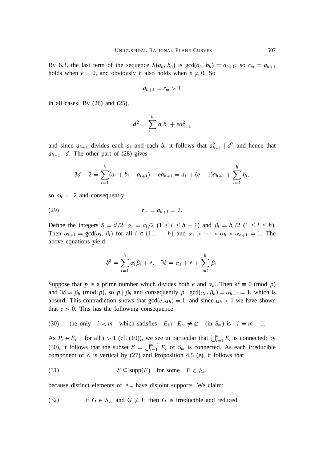By 6.3, the last term of the sequence  $S(a_h, b_h)$  is  $gcd(a_h, b_h) = a_{h+1}$ ; so  $r_m = a_{h+1}$ holds when  $e = 0$ , and obviously it also holds when  $e \neq 0$ . So

$$
a_{h+1}=r_m>1
$$

in all cases. By (28) and (25),

$$
d^2 = \sum_{i=1}^h a_i b_i + e a_{h+1}^2
$$

and since  $a_{h+1}$  divides each  $a_i$  and each  $b_i$  it follows that  $a_{h+1}^2 \mid d^2$  and hence that  $a_{h+1}$  *d*. The other part of (28) gives

$$
3d-2=\sum_{i=1}^h (a_i+b_i-a_{i+1})+ea_{h+1}=a_1+(e-1)a_{h+1}+\sum_{i=1}^h b_i,
$$

so  $a_{h+1}$  | 2 and consequently

$$
(29) \t\t\t r_m = a_{h+1} = 2.
$$

Define the integers  $\delta = d/2$ ,  $\alpha_i = a_i/2$  ( $1 \le i \le h+1$ ) and  $\beta_i = b_i/2$  ( $1 \le i \le h$ ). Then  $\alpha_{i+1}$  = gcd( $\alpha_i$ ,  $\beta_i$ ) for all  $i \in \{1, ..., h\}$  and  $\alpha_1 > \cdots > \alpha_h > \alpha_{h+1} = 1$ . The above equations yield:

$$
\delta^2 = \sum_{i=1}^h \alpha_i \beta_i + e, \quad 3\delta = \alpha_1 + e + \sum_{i=1}^h \beta_i.
$$

Suppose that *p* is a prime number which divides both *e* and  $\alpha_h$ . Then  $\delta^2 \equiv 0 \pmod{p}$ and  $3\delta \equiv \beta_h \pmod{p}$ , so  $p \mid \beta_h$  and consequently  $p \mid \gcd(\alpha_h, \beta_h) = \alpha_{h+1} = 1$ , which is absurd. This contradiction shows that  $gcd(e, \alpha_h) = 1$ , and since  $\alpha_h > 1$  we have shown that  $e > 0$ . This has the following consequence:

(30) the only  $i < m$  which satisfies  $E_i \cap E_m \neq \emptyset$  (in  $S_m$ ) is  $i = m - 1$ .

As  $P_i \in E_{i-1}$  for all  $i > 1$  (cf. (10)), we see in particular that  $\bigcup_{i=1}^m E_i$  is connected; by (30), it follows that the subset  $\mathcal{E} = \bigcup_{i=1}^{m-1} E_i$  of  $S_m$  is connected. As each irreducible component of  $\mathcal E$  is vertical by (27) and Proposition 4.5 (e), it follows that

(31) 
$$
\mathcal{E} \subseteq \text{supp}(F) \text{ for some } F \in \Lambda_m
$$

because distinct elements of  $\Lambda_m$  have disjoint supports. We claim:

(32) if  $G \in \Lambda_m$  and  $G \neq F$  then *G* is irreducible and reduced.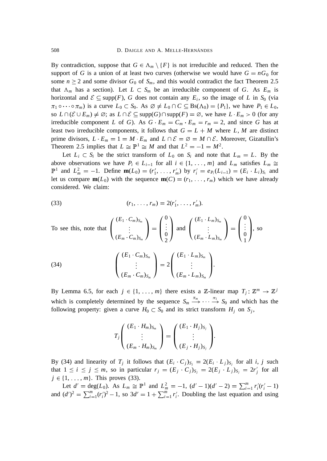By contradiction, suppose that  $G \in \Lambda_m \setminus \{F\}$  is not irreducible and reduced. Then the support of *G* is a union of at least two curves (otherwise we would have  $G = nG_0$  for some  $n \geq 2$  and some divisor  $G_0$  of  $S_m$ , and this would contradict the fact Theorem 2.5 that  $\Lambda_m$  has a section). Let  $L \subset S_m$  be an irreducible component of *G*. As  $E_m$  is horizontal and  $\mathcal{E} \subseteq \text{supp}(F)$ , *G* does not contain any  $E_i$ , so the image of *L* in  $S_0$  (via  $\pi_1 \circ \cdots \circ \pi_m$ ) is a curve  $L_0 \subset S_0$ . As  $\emptyset \neq L_0 \cap C \subseteq \text{Bs}(\Lambda_0) = \{P_1\}$ , we have  $P_1 \in L_0$ , so  $L \cap (\mathcal{E} \cup E_m) \neq \emptyset$ ; as  $L \cap \mathcal{E} \subseteq \text{supp}(G) \cap \text{supp}(F) = \emptyset$ , we have  $L \cdot E_m > 0$  (for any irreducible component *L* of *G*). As  $G \cdot E_m = C_m \cdot E_m = r_m = 2$ , and since *G* has at least two irreducible components, it follows that  $G = L + M$  where L, M are distinct prime divisors,  $L \cdot E_m = 1 = M \cdot E_m$  and  $L \cap \mathcal{E} = \emptyset = M \cap \mathcal{E}$ . Moreover, Gizatullin's Theorem 2.5 implies that  $L \cong \mathbb{P}^1 \cong M$  and that  $L^2 = -1 = M^2$ .

Let  $L_i \subset S_i$  be the strict transform of  $L_0$  on  $S_i$  and note that  $L_m = L$ . By the above observations we have  $P_i \in L_{i-1}$  for all  $i \in \{1, \ldots, m\}$  and  $L_m$  satisfies  $L_m \cong L_m$  $\mathbb{P}^1$  and  $L_m^2 = -1$ . Define  $\mathbf{m}(L_0) = (r'_1, \ldots, r'_m)$  by  $r'_i = e_{P_i}(L_{i-1}) = (E_i \cdot L_i)_{S_i}$  and let us compare  $m(L_0)$  with the sequence  $m(C) = (r_1, \ldots, r_m)$  which we have already considered. We claim:

(33) 
$$
(r_1, \ldots, r_m) = 2(r'_1, \ldots, r'_m).
$$

To see this, note that 
$$
\begin{pmatrix} (E_1 \cdot C_m)_{S_m} \\ \vdots \\ (E_m \cdot C_m)_{S_m} \end{pmatrix} = \begin{pmatrix} 0 \\ \vdots \\ 0 \\ 2 \end{pmatrix}
$$
 and  $\begin{pmatrix} (E_1 \cdot L_m)_{S_m} \\ \vdots \\ (E_m \cdot L_m)_{S_m} \end{pmatrix} = \begin{pmatrix} 0 \\ \vdots \\ 0 \\ 1 \end{pmatrix}$ , so   
(34)  

$$
\begin{pmatrix} (E_1 \cdot C_m)_{S_m} \\ \vdots \\ (E_m \cdot C_m)_{S_m} \end{pmatrix} = 2 \begin{pmatrix} (E_1 \cdot L_m)_{S_m} \\ \vdots \\ (E_m \cdot L_m)_{S_m} \end{pmatrix}.
$$

By Lemma 6.5, for each  $j \in \{1, ..., m\}$  there exists a Z-linear map  $T_j : \mathbb{Z}^m \to \mathbb{Z}^j$ which is completely determined by the sequence  $S_m \stackrel{\pi_m}{\longrightarrow} \cdots \stackrel{\pi_1}{\longrightarrow} S_0$  and which has the following property: given a curve  $H_0 \subset S_0$  and its strict transform  $H_j$  on  $S_j$ ,

$$
T_j\left(\begin{array}{c} (E_1\cdot H_m)_{S_m} \\ \vdots \\ (E_m\cdot H_m)_{S_m} \end{array}\right) = \left(\begin{array}{c} (E_1\cdot H_j)_{S_j} \\ \vdots \\ (E_j\cdot H_j)_{S_j} \end{array}\right).
$$

By (34) and linearity of  $T_j$  it follows that  $(E_i \cdot C_j)_{S_j} = 2(E_i \cdot L_j)_{S_j}$  for all *i*, *j* such that  $1 \le i \le j \le m$ , so in particular  $r_j = (E_j \cdot C_j)_{S_j} = 2(E_j \cdot L_j)_{S_j} = 2r'_j$  for all  $j \in \{1, ..., m\}$ . This proves (33).

Let  $d' = \deg(L_0)$ . As  $L_m \cong \mathbb{P}^1$  and  $L_m^2 = -1$ ,  $(d'-1)(d'-2) = \sum_{i=1}^m r'_i(r'_i-1)$ and  $(d')^2 = \sum_{i=1}^m (r'_i)^2 - 1$ , so  $3d' = 1 + \sum_{i=1}^m r'_i$ . Doubling the last equation and using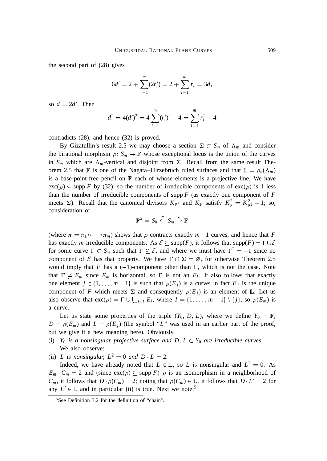the second part of (28) gives

$$
6d' = 2 + \sum_{i=1}^{m} (2r'_i) = 2 + \sum_{i=1}^{m} r_i = 3d,
$$

so  $d = 2d'$ . Then

$$
d^{2} = 4(d')^{2} = 4 \sum_{i=1}^{m} (r'_{i})^{2} - 4 = \sum_{i=1}^{m} r_{i}^{2} - 4
$$

contradicts (28), and hence (32) is proved.

By Gizatullin's result 2.5 we may choose a section  $\Sigma \subset S_m$  of  $\Lambda_m$  and consider the birational morphism  $\rho: S_m \to \mathbb{F}$  whose exceptional locus is the union of the curves in  $S_m$  which are  $\Lambda_m$ -vertical and disjoint from  $\Sigma$ . Recall from the same result Theorem 2.5 that F is one of the Nagata–Hirzebruch ruled surfaces and that  $\mathbb{L} = \rho_*(\Lambda_m)$ is a base-point-free pencil on  $\mathbb F$  each of whose elements is a projective line. We have  $\operatorname{exc}(\rho) \subseteq \operatorname{supp} F$  by (32), so the number of irreducible components of  $\operatorname{exc}(\rho)$  is 1 less than the number of irreducible components of supp *F* (as exactly one component of *F* meets  $\Sigma$ ). Recall that the canonical divisors  $K_{\mathbb{P}^2}$  and  $K_{\mathbb{F}}$  satisfy  $K_{\mathbb{F}}^2 = K_{\mathbb{P}^2}^2 - 1$ ; so, consideration of

$$
\mathbb{P}^2 = S_0 \stackrel{\pi}{\leftarrow} S_m \stackrel{\rho}{\rightarrow} \mathbb{F}
$$

(where  $\pi = \pi_1 \circ \cdots \circ \pi_m$ ) shows that  $\rho$  contracts exactly  $m-1$  curves, and hence that *F* has exactly *m* irreducible components. As  $\mathcal{E} \subseteq \text{supp}(F)$ , it follows that  $\text{supp}(F) = \Gamma \cup \mathcal{E}$ for some curve  $\Gamma \subset S_m$  such that  $\Gamma \nsubseteq \mathcal{E}$ , and where we must have  $\Gamma^2 = -1$  since no component of  $\mathcal E$  has that property. We have  $\Gamma \cap \Sigma = \emptyset$ , for otherwise Theorem 2.5 would imply that *F* has a  $(-1)$ -component other than  $\Gamma$ , which is not the case. Note that  $\Gamma \neq E_m$  since  $E_m$  is horizontal, so  $\Gamma$  is not an  $E_i$ . It also follows that exactly one element  $j \in \{1, \ldots, m-1\}$  is such that  $\rho(E_j)$  is a curve; in fact  $E_j$  is the unique component of *F* which meets  $\Sigma$  and consequently  $\rho(E_i)$  is an element of L. Let us also observe that  $\text{exc}(\rho) = \Gamma \cup \bigcup_{i \in I} E_i$ , where  $I = \{1, \ldots, m-1\} \setminus \{j\}$ , so  $\rho(E_m)$  is a curve.

Let us state some properties of the triple  $(Y_0, D, L)$ , where we define  $Y_0 = \mathbb{F}$ ,  $D = \rho(E_m)$  and  $L = \rho(E_i)$  (the symbol "*L*" was used in an earlier part of the proof, but we give it a new meaning here). Obviously,

- (i)  $Y_0$  *is a nonsingular projective surface and D, L*  $\subset$   $Y_0$  *are irreducible curves.* We also observe:
- (ii) *L* is nonsingular,  $L^2 = 0$  and  $D \cdot L = 2$ .

Indeed, we have already noted that  $L \in \mathbb{L}$ , so *L* is nonsingular and  $L^2 = 0$ . As  $E_m \cdot C_m = 2$  and (since  $\exp(\rho) \subseteq \sup F$ )  $\rho$  is an isomorphism in a neighborhood of *C<sub>m</sub>*, it follows that  $D \cdot \rho(C_m) = 2$ ; noting that  $\rho(C_m) \in \mathbb{L}$ , it follows that  $D \cdot L' = 2$  for any  $L' \in \mathbb{L}$  and in particular (ii) is true. Next we note:<sup>5</sup>

<sup>5</sup>See Definition 3.2 for the definition of "chain".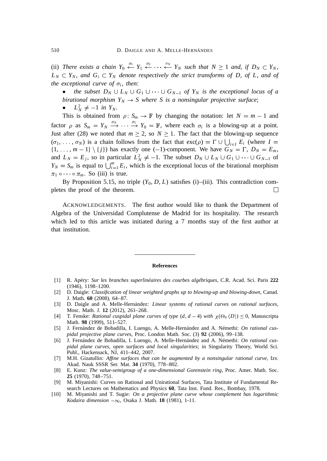(ii) There exists a chain  $Y_0 \leftarrow Y_1 \leftarrow \cdots \leftarrow Y_N$  such that  $N \geq 1$  and, if  $D_N \subset Y_N$ ,  $L_N \subset Y_N$ , and  $G_i \subset Y_N$  denote respectively the strict transforms of D, of L, and of *the exceptional curve of*  $\sigma_i$ , *then*:

*the subset*  $D_N \cup L_N \cup G_1 \cup \cdots \cup G_{N-1}$  *of*  $Y_N$  *is the exceptional locus of a birational morphism*  $Y_N \to S$  where S is a nonsingular projective surface;

•  $L_N^2 \neq -1$  *in*  $Y_N$ *.* 

This is obtained from  $\rho: S_m \to \mathbb{F}$  by changing the notation: let  $N = m - 1$  and factor  $\rho$  as  $S_m = Y_N \xrightarrow{\sigma_N} \cdots \xrightarrow{\sigma_1} Y_0 = \mathbb{F}$ , where each  $\sigma_i$  is a blowing-up at a point. Just after (28) we noted that  $m \ge 2$ , so  $N \ge 1$ . The fact that the blowing-up sequence  $(\sigma_1, \ldots, \sigma_N)$  is a chain follows from the fact that  $\exp(\rho) = \Gamma \cup \bigcup_{i \in I} E_i$  (where  $I =$  $\{1, \ldots, m-1\} \setminus \{j\}$  has exactly one (-1)-component. We have  $G_N = \Gamma$ ,  $D_N = E_m$ , and  $L_N = E_j$ , so in particular  $L_N^2 \neq -1$ . The subset  $D_N \cup L_N \cup G_1 \cup \cdots \cup G_{N-1}$  of  $Y_N = S_m$  is equal to  $\bigcup_{i=1}^m E_i$ , which is the exceptional locus of the birational morphism  $\pi_1 \circ \cdots \circ \pi_m$ . So (iii) is true.

By Proposition 5.15, no triple  $(Y_0, D, L)$  satisfies (i)–(iii). This contradiction completes the proof of the theorem.  $\Box$ 

ACKNOWLEDGEMENTS. The first author would like to thank the Department of Algebra of the Universidad Complutense de Madrid for its hospitality. The research which led to this article was initiated during a 7 months stay of the first author at that institution.

#### **References**

- [1] R. Apéry: *Sur les branches superlinéaires des courbes algébriques*, C.R. Acad. Sci. Paris **222** (1946), 1198–1200.
- [2] D. Daigle: *Classification of linear weighted graphs up to blowing-up and blowing-down*, Canad. J. Math. **60** (2008), 64–87.
- [3] D. Daigle and A. Melle-Hernández: *Linear systems of rational curves on rational surfaces*, Mosc. Math. J. **12** (2012), 261–268.
- [4] T. Fenske: *Rational cuspidal plane curves of type*  $(d, d 4)$  *with*  $\chi(\Theta_V \langle D \rangle) \leq 0$ , Manuscripta Math. **98** (1999), 511–527.
- [5] J. Fernández de Bobadilla, I. Luengo, A. Melle-Hernández and A. Némethi: *On rational cuspidal projective plane curves*, Proc. London Math. Soc. (3) **92** (2006), 99–138.
- [6] J. Fernández de Bobadilla, I. Luengo, A. Melle-Hernández and A. Némethi: *On rational cuspidal plane curves*, *open surfaces and local singularities*; in Singularity Theory, World Sci. Publ., Hackensack, NJ, 411–442, 2007.
- [7] M.H. Gizatullin: *Affine surfaces that can be augmented by a nonsingular rational curve*, Izv. Akad. Nauk SSSR Ser. Mat. **34** (1970), 778–802.
- [8] E. Kunz: *The value-semigroup of a one-dimensional Gorenstein ring*, Proc. Amer. Math. Soc. **25** (1970), 748–751.
- [9] M. Miyanishi: Curves on Rational and Unirational Surfaces, Tata Institute of Fundamental Research Lectures on Mathematics and Physics **60**, Tata Inst. Fund. Res., Bombay, 1978.
- [10] M. Miyanishi and T. Sugie: *On a projective plane curve whose complement has logarithmic Kodaira dimension*  $-\infty$ , Osaka J. Math. **18** (1981), 1–11.